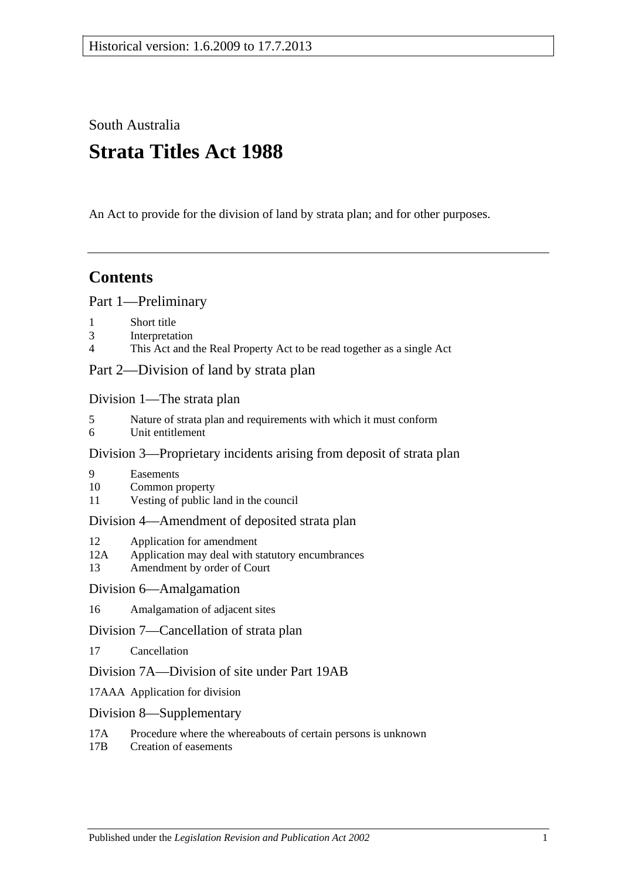South Australia

# **Strata Titles Act 1988**

An Act to provide for the division of land by strata plan; and for other purposes.

# **Contents**

[Part 1—Preliminary](#page-2-0)

- 1 [Short title](#page-2-1)
- 3 [Interpretation](#page-2-2)
- 4 [This Act and the Real Property Act to be read together as a single Act](#page-5-0)

[Part 2—Division of land by strata plan](#page-5-1)

[Division 1—The strata plan](#page-5-2)

- 5 [Nature of strata plan and requirements with which it must conform](#page-5-3)
- 6 [Unit entitlement](#page-6-0)

# [Division 3—Proprietary incidents arising from deposit of strata plan](#page-7-0)

- 9 [Easements](#page-7-1)
- 10 [Common property](#page-7-2)
- 11 [Vesting of public land in the council](#page-7-3)

# [Division 4—Amendment of deposited strata plan](#page-7-4)

- 12 [Application for amendment](#page-7-5)
- 12A [Application may deal with statutory encumbrances](#page-10-0)
- 13 [Amendment by order of Court](#page-10-1)

# [Division 6—Amalgamation](#page-11-0)

16 [Amalgamation of adjacent sites](#page-11-1)

# [Division 7—Cancellation of strata plan](#page-12-0)

17 [Cancellation](#page-12-1)

# [Division 7A—Division of site under Part 19AB](#page-13-0)

- 17AAA [Application for division](#page-13-1)
- [Division 8—Supplementary](#page-14-0)
- 17A [Procedure where the whereabouts of certain persons is unknown](#page-14-1)
- 17B [Creation of easements](#page-15-0)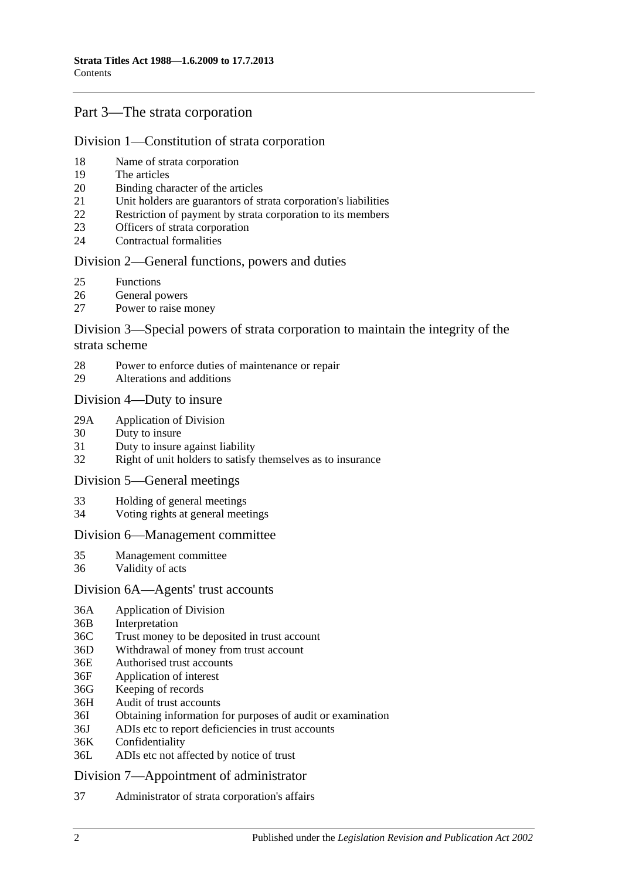# [Part 3—The strata corporation](#page-15-1)

#### [Division 1—Constitution of strata corporation](#page-15-2)

- 18 [Name of strata corporation](#page-15-3)
- 19 [The articles](#page-15-4)
- 20 [Binding character of the articles](#page-16-0)
- 21 [Unit holders are guarantors of strata corporation's liabilities](#page-16-1)
- 22 [Restriction of payment by strata corporation to its members](#page-16-2)
- 23 [Officers of strata corporation](#page-16-3)
- 24 [Contractual formalities](#page-17-0)

#### [Division 2—General functions, powers and duties](#page-17-1)

- 25 [Functions](#page-17-2)
- 26 [General powers](#page-17-3)
- 27 [Power to raise money](#page-18-0)

### [Division 3—Special powers of strata corporation to maintain the integrity of the](#page-19-0)  [strata scheme](#page-19-0)

- 28 [Power to enforce duties of maintenance or repair](#page-19-1)
- 29 [Alterations and additions](#page-19-2)

#### [Division 4—Duty to insure](#page-20-0)

- 29A [Application of Division](#page-20-1)
- 30 [Duty to insure](#page-20-2)
- 31 [Duty to insure against liability](#page-20-3)
- 32 [Right of unit holders to satisfy themselves as to insurance](#page-20-4)

#### [Division 5—General meetings](#page-21-0)

- 33 [Holding of general meetings](#page-21-1)
- 34 [Voting rights at general meetings](#page-21-2)

#### [Division 6—Management committee](#page-22-0)

- 35 [Management committee](#page-22-1)
- 36 [Validity of acts](#page-23-0)

#### [Division 6A—Agents' trust accounts](#page-23-1)

- 36A [Application of Division](#page-23-2)
- 36B [Interpretation](#page-24-0)
- 36C [Trust money to be deposited in trust account](#page-24-1)
- 36D [Withdrawal of money from trust account](#page-24-2)
- 36E [Authorised trust accounts](#page-24-3)
- 36F [Application of interest](#page-25-0)
- 36G [Keeping of records](#page-25-1)
- 36H [Audit of trust accounts](#page-25-2)
- 36I [Obtaining information for purposes of audit or examination](#page-26-0)
- 36J [ADIs etc to report deficiencies in trust accounts](#page-26-1)
- 36K [Confidentiality](#page-26-2)
- 36L [ADIs etc not affected by notice of trust](#page-26-3)

#### [Division 7—Appointment of administrator](#page-27-0)

37 [Administrator of strata corporation's affairs](#page-27-1)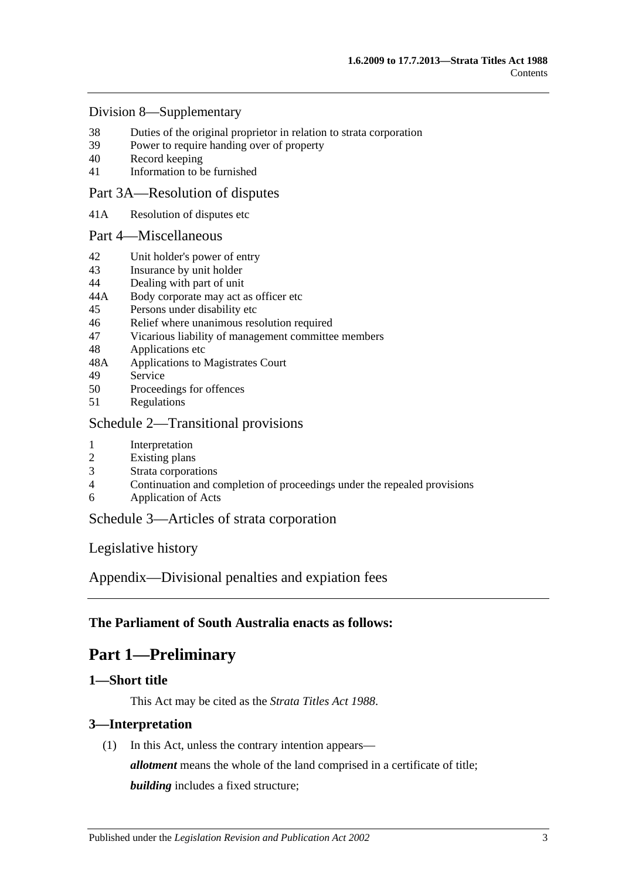#### [Division 8—Supplementary](#page-27-2)

- 38 [Duties of the original proprietor in relation to strata corporation](#page-27-3)<br>39 Power to require handing over of property
- [Power to require handing over of property](#page-28-0)
- 40 [Record keeping](#page-28-1)
- 41 [Information to be furnished](#page-29-0)

### [Part 3A—Resolution of disputes](#page-30-0)

41A [Resolution of disputes etc](#page-30-1)

#### [Part 4—Miscellaneous](#page-32-0)

- 42 [Unit holder's power](#page-32-1) of entry
- 43 [Insurance by unit holder](#page-32-2)
- 44 [Dealing with part of unit](#page-33-0)
- 44A [Body corporate may act as officer etc](#page-34-0)
- 45 [Persons under disability etc](#page-34-1)
- 46 [Relief where unanimous resolution required](#page-34-2)
- 47 [Vicarious liability of management committee members](#page-35-0)
- 48 [Applications etc](#page-35-1)
- 48A [Applications to Magistrates Court](#page-35-2)
- 49 [Service](#page-35-3)
- 50 [Proceedings for offences](#page-36-0)
- 51 [Regulations](#page-36-1)

#### [Schedule 2—Transitional provisions](#page-36-2)

- 1 [Interpretation](#page-36-3)
- 2 [Existing plans](#page-36-4)
- 3 [Strata corporations](#page-37-0)
- 4 [Continuation and completion of proceedings under the repealed provisions](#page-37-1)
- 6 [Application of Acts](#page-37-2)

# [Schedule 3—Articles of strata corporation](#page-37-3)

[Legislative history](#page-40-0)

[Appendix—Divisional penalties and expiation fees](#page-47-0)

# <span id="page-2-0"></span>**The Parliament of South Australia enacts as follows:**

# **Part 1—Preliminary**

#### <span id="page-2-1"></span>**1—Short title**

This Act may be cited as the *Strata Titles Act 1988*.

# <span id="page-2-2"></span>**3—Interpretation**

(1) In this Act, unless the contrary intention appears—

*allotment* means the whole of the land comprised in a certificate of title;

*building* includes a fixed structure;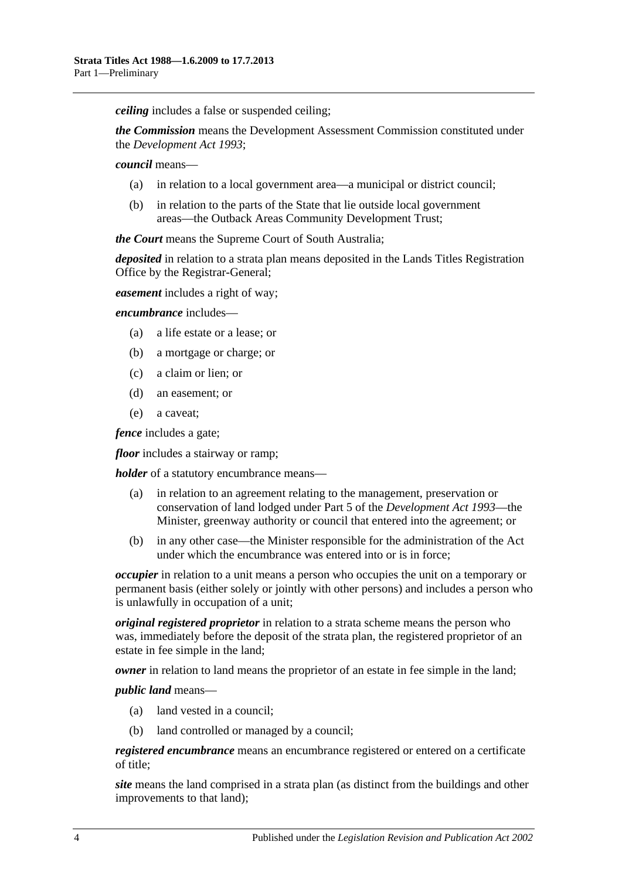*ceiling* includes a false or suspended ceiling;

*the Commission* means the Development Assessment Commission constituted under the *[Development Act](http://www.legislation.sa.gov.au/index.aspx?action=legref&type=act&legtitle=Development%20Act%201993) 1993*;

*council* means—

- (a) in relation to a local government area—a municipal or district council;
- (b) in relation to the parts of the State that lie outside local government areas—the Outback Areas Community Development Trust;

*the Court* means the Supreme Court of South Australia;

*deposited* in relation to a strata plan means deposited in the Lands Titles Registration Office by the Registrar-General;

*easement* includes a right of way;

*encumbrance* includes—

- (a) a life estate or a lease; or
- (b) a mortgage or charge; or
- (c) a claim or lien; or
- (d) an easement; or
- (e) a caveat;

*fence* includes a gate:

*floor* includes a stairway or ramp;

*holder* of a statutory encumbrance means—

- (a) in relation to an agreement relating to the management, preservation or conservation of land lodged under Part 5 of the *[Development Act](http://www.legislation.sa.gov.au/index.aspx?action=legref&type=act&legtitle=Development%20Act%201993) 1993*—the Minister, greenway authority or council that entered into the agreement; or
- (b) in any other case—the Minister responsible for the administration of the Act under which the encumbrance was entered into or is in force;

*occupier* in relation to a unit means a person who occupies the unit on a temporary or permanent basis (either solely or jointly with other persons) and includes a person who is unlawfully in occupation of a unit;

*original registered proprietor* in relation to a strata scheme means the person who was, immediately before the deposit of the strata plan, the registered proprietor of an estate in fee simple in the land;

*owner* in relation to land means the proprietor of an estate in fee simple in the land;

*public land* means—

- (a) land vested in a council;
- (b) land controlled or managed by a council;

*registered encumbrance* means an encumbrance registered or entered on a certificate of title;

*site* means the land comprised in a strata plan (as distinct from the buildings and other improvements to that land);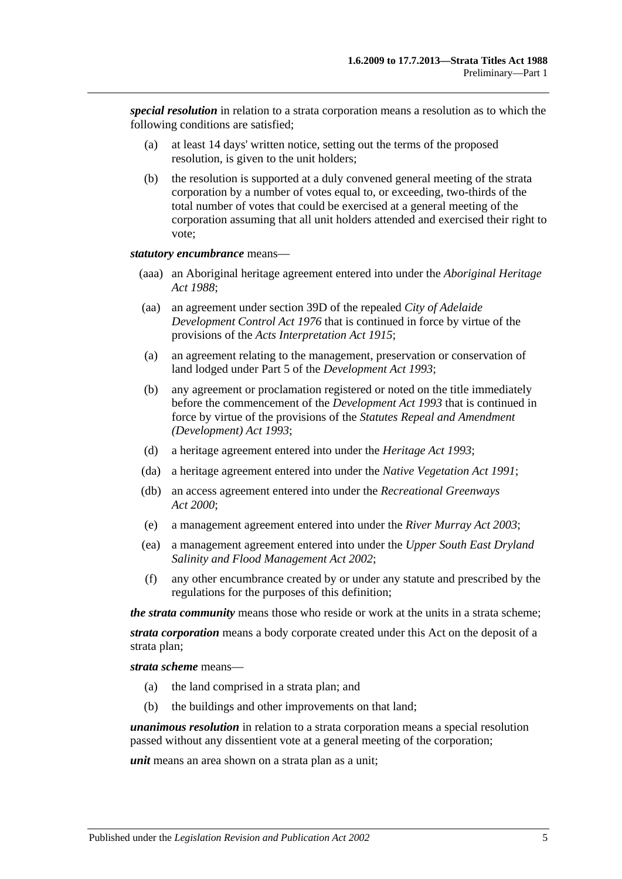*special resolution* in relation to a strata corporation means a resolution as to which the following conditions are satisfied;

- (a) at least 14 days' written notice, setting out the terms of the proposed resolution, is given to the unit holders;
- (b) the resolution is supported at a duly convened general meeting of the strata corporation by a number of votes equal to, or exceeding, two-thirds of the total number of votes that could be exercised at a general meeting of the corporation assuming that all unit holders attended and exercised their right to vote;

#### *statutory encumbrance* means—

- (aaa) an Aboriginal heritage agreement entered into under the *[Aboriginal Heritage](http://www.legislation.sa.gov.au/index.aspx?action=legref&type=act&legtitle=Aboriginal%20Heritage%20Act%201988)  Act [1988](http://www.legislation.sa.gov.au/index.aspx?action=legref&type=act&legtitle=Aboriginal%20Heritage%20Act%201988)*;
- (aa) an agreement under section 39D of the repealed *[City of Adelaide](http://www.legislation.sa.gov.au/index.aspx?action=legref&type=act&legtitle=City%20of%20Adelaide%20Development%20Control%20Act%201976)  [Development Control Act](http://www.legislation.sa.gov.au/index.aspx?action=legref&type=act&legtitle=City%20of%20Adelaide%20Development%20Control%20Act%201976) 1976* that is continued in force by virtue of the provisions of the *[Acts Interpretation Act](http://www.legislation.sa.gov.au/index.aspx?action=legref&type=act&legtitle=Acts%20Interpretation%20Act%201915) 1915*;
- (a) an agreement relating to the management, preservation or conservation of land lodged under Part 5 of the *[Development Act](http://www.legislation.sa.gov.au/index.aspx?action=legref&type=act&legtitle=Development%20Act%201993) 1993*;
- (b) any agreement or proclamation registered or noted on the title immediately before the commencement of the *[Development Act](http://www.legislation.sa.gov.au/index.aspx?action=legref&type=act&legtitle=Development%20Act%201993) 1993* that is continued in force by virtue of the provisions of the *[Statutes Repeal and Amendment](http://www.legislation.sa.gov.au/index.aspx?action=legref&type=act&legtitle=Statutes%20Repeal%20and%20Amendment%20(Development)%20Act%201993)  [\(Development\) Act](http://www.legislation.sa.gov.au/index.aspx?action=legref&type=act&legtitle=Statutes%20Repeal%20and%20Amendment%20(Development)%20Act%201993) 1993*;
- (d) a heritage agreement entered into under the *[Heritage Act](http://www.legislation.sa.gov.au/index.aspx?action=legref&type=act&legtitle=Heritage%20Act%201993) 1993*;
- (da) a heritage agreement entered into under the *[Native Vegetation Act](http://www.legislation.sa.gov.au/index.aspx?action=legref&type=act&legtitle=Native%20Vegetation%20Act%201991) 1991*;
- (db) an access agreement entered into under the *[Recreational Greenways](http://www.legislation.sa.gov.au/index.aspx?action=legref&type=act&legtitle=Recreational%20Greenways%20Act%202000)  Act [2000](http://www.legislation.sa.gov.au/index.aspx?action=legref&type=act&legtitle=Recreational%20Greenways%20Act%202000)*;
- (e) a management agreement entered into under the *[River Murray Act](http://www.legislation.sa.gov.au/index.aspx?action=legref&type=act&legtitle=River%20Murray%20Act%202003) 2003*;
- (ea) a management agreement entered into under the *[Upper South East Dryland](http://www.legislation.sa.gov.au/index.aspx?action=legref&type=act&legtitle=Upper%20South%20East%20Dryland%20Salinity%20and%20Flood%20Management%20Act%202002)  [Salinity and Flood Management Act](http://www.legislation.sa.gov.au/index.aspx?action=legref&type=act&legtitle=Upper%20South%20East%20Dryland%20Salinity%20and%20Flood%20Management%20Act%202002) 2002*;
- (f) any other encumbrance created by or under any statute and prescribed by the regulations for the purposes of this definition;

*the strata community* means those who reside or work at the units in a strata scheme;

*strata corporation* means a body corporate created under this Act on the deposit of a strata plan;

*strata scheme* means—

- (a) the land comprised in a strata plan; and
- (b) the buildings and other improvements on that land;

*unanimous resolution* in relation to a strata corporation means a special resolution passed without any dissentient vote at a general meeting of the corporation;

*unit* means an area shown on a strata plan as a unit;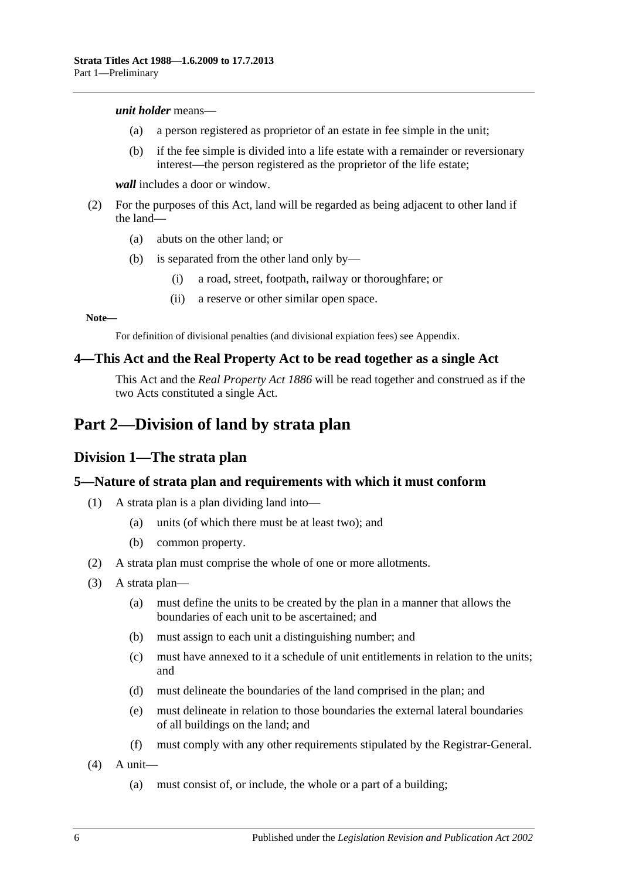#### *unit holder* means—

- (a) a person registered as proprietor of an estate in fee simple in the unit;
- (b) if the fee simple is divided into a life estate with a remainder or reversionary interest—the person registered as the proprietor of the life estate;

*wall* includes a door or window.

- (2) For the purposes of this Act, land will be regarded as being adjacent to other land if the land—
	- (a) abuts on the other land; or
	- (b) is separated from the other land only by—
		- (i) a road, street, footpath, railway or thoroughfare; or
		- (ii) a reserve or other similar open space.

#### **Note—**

For definition of divisional penalties (and divisional expiation fees) see Appendix.

#### <span id="page-5-0"></span>**4—This Act and the Real Property Act to be read together as a single Act**

This Act and the *[Real Property Act](http://www.legislation.sa.gov.au/index.aspx?action=legref&type=act&legtitle=Real%20Property%20Act%201886) 1886* will be read together and construed as if the two Acts constituted a single Act.

# <span id="page-5-2"></span><span id="page-5-1"></span>**Part 2—Division of land by strata plan**

#### **Division 1—The strata plan**

#### <span id="page-5-3"></span>**5—Nature of strata plan and requirements with which it must conform**

- (1) A strata plan is a plan dividing land into—
	- (a) units (of which there must be at least two); and
	- (b) common property.
- (2) A strata plan must comprise the whole of one or more allotments.
- (3) A strata plan—
	- (a) must define the units to be created by the plan in a manner that allows the boundaries of each unit to be ascertained; and
	- (b) must assign to each unit a distinguishing number; and
	- (c) must have annexed to it a schedule of unit entitlements in relation to the units; and
	- (d) must delineate the boundaries of the land comprised in the plan; and
	- (e) must delineate in relation to those boundaries the external lateral boundaries of all buildings on the land; and
	- (f) must comply with any other requirements stipulated by the Registrar-General.
- $(4)$  A unit—
	- (a) must consist of, or include, the whole or a part of a building;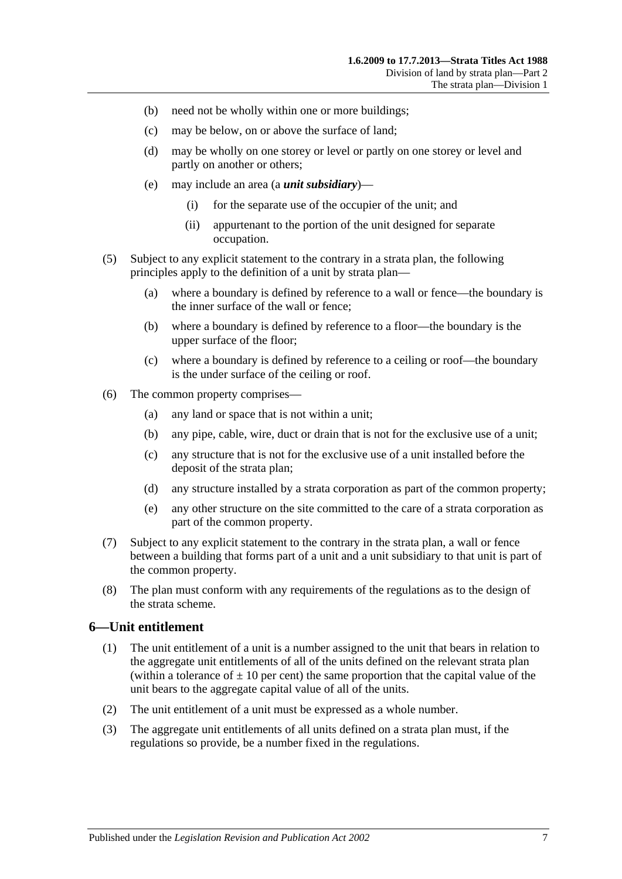- (b) need not be wholly within one or more buildings;
- (c) may be below, on or above the surface of land;
- (d) may be wholly on one storey or level or partly on one storey or level and partly on another or others;
- (e) may include an area (a *unit subsidiary*)—
	- (i) for the separate use of the occupier of the unit; and
	- (ii) appurtenant to the portion of the unit designed for separate occupation.
- (5) Subject to any explicit statement to the contrary in a strata plan, the following principles apply to the definition of a unit by strata plan—
	- (a) where a boundary is defined by reference to a wall or fence—the boundary is the inner surface of the wall or fence;
	- (b) where a boundary is defined by reference to a floor—the boundary is the upper surface of the floor;
	- (c) where a boundary is defined by reference to a ceiling or roof—the boundary is the under surface of the ceiling or roof.
- (6) The common property comprises—
	- (a) any land or space that is not within a unit;
	- (b) any pipe, cable, wire, duct or drain that is not for the exclusive use of a unit;
	- (c) any structure that is not for the exclusive use of a unit installed before the deposit of the strata plan;
	- (d) any structure installed by a strata corporation as part of the common property;
	- (e) any other structure on the site committed to the care of a strata corporation as part of the common property.
- (7) Subject to any explicit statement to the contrary in the strata plan, a wall or fence between a building that forms part of a unit and a unit subsidiary to that unit is part of the common property.
- (8) The plan must conform with any requirements of the regulations as to the design of the strata scheme.

#### <span id="page-6-0"></span>**6—Unit entitlement**

- (1) The unit entitlement of a unit is a number assigned to the unit that bears in relation to the aggregate unit entitlements of all of the units defined on the relevant strata plan (within a tolerance of  $\pm 10$  per cent) the same proportion that the capital value of the unit bears to the aggregate capital value of all of the units.
- (2) The unit entitlement of a unit must be expressed as a whole number.
- (3) The aggregate unit entitlements of all units defined on a strata plan must, if the regulations so provide, be a number fixed in the regulations.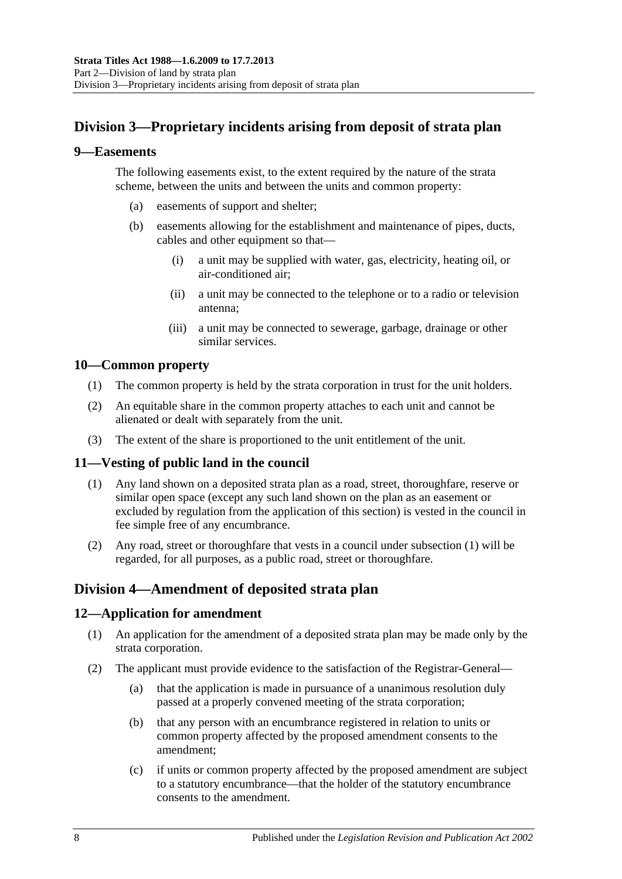# <span id="page-7-0"></span>**Division 3—Proprietary incidents arising from deposit of strata plan**

#### <span id="page-7-1"></span>**9—Easements**

The following easements exist, to the extent required by the nature of the strata scheme, between the units and between the units and common property:

- (a) easements of support and shelter;
- (b) easements allowing for the establishment and maintenance of pipes, ducts, cables and other equipment so that—
	- (i) a unit may be supplied with water, gas, electricity, heating oil, or air-conditioned air;
	- (ii) a unit may be connected to the telephone or to a radio or television antenna;
	- (iii) a unit may be connected to sewerage, garbage, drainage or other similar services.

# <span id="page-7-2"></span>**10—Common property**

- (1) The common property is held by the strata corporation in trust for the unit holders.
- (2) An equitable share in the common property attaches to each unit and cannot be alienated or dealt with separately from the unit.
- (3) The extent of the share is proportioned to the unit entitlement of the unit.

# <span id="page-7-6"></span><span id="page-7-3"></span>**11—Vesting of public land in the council**

- (1) Any land shown on a deposited strata plan as a road, street, thoroughfare, reserve or similar open space (except any such land shown on the plan as an easement or excluded by regulation from the application of this section) is vested in the council in fee simple free of any encumbrance.
- (2) Any road, street or thoroughfare that vests in a council under [subsection](#page-7-6) (1) will be regarded, for all purposes, as a public road, street or thoroughfare.

# <span id="page-7-4"></span>**Division 4—Amendment of deposited strata plan**

# <span id="page-7-5"></span>**12—Application for amendment**

- (1) An application for the amendment of a deposited strata plan may be made only by the strata corporation.
- (2) The applicant must provide evidence to the satisfaction of the Registrar-General—
	- (a) that the application is made in pursuance of a unanimous resolution duly passed at a properly convened meeting of the strata corporation;
	- (b) that any person with an encumbrance registered in relation to units or common property affected by the proposed amendment consents to the amendment;
	- (c) if units or common property affected by the proposed amendment are subject to a statutory encumbrance—that the holder of the statutory encumbrance consents to the amendment.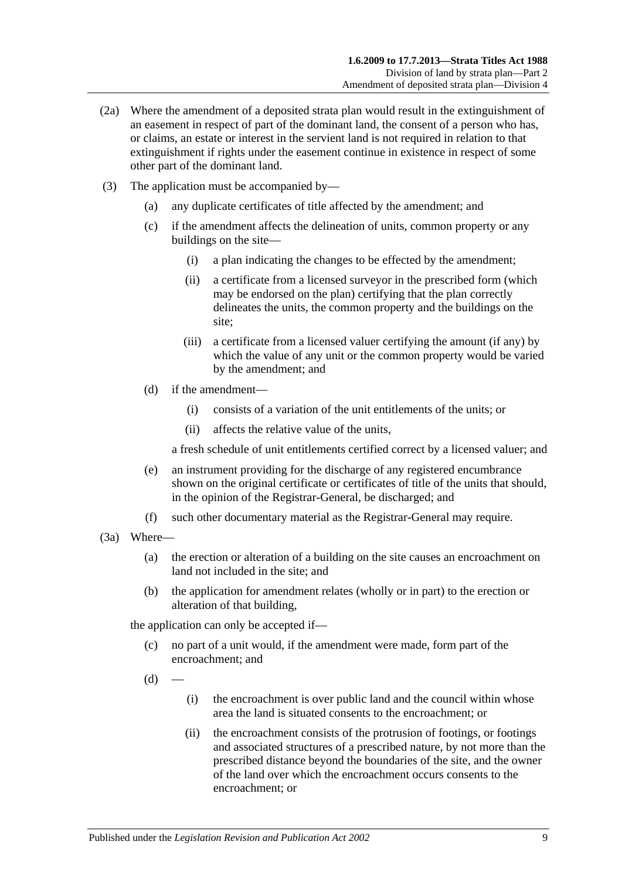- (2a) Where the amendment of a deposited strata plan would result in the extinguishment of an easement in respect of part of the dominant land, the consent of a person who has, or claims, an estate or interest in the servient land is not required in relation to that extinguishment if rights under the easement continue in existence in respect of some other part of the dominant land.
- (3) The application must be accompanied by—
	- (a) any duplicate certificates of title affected by the amendment; and
	- (c) if the amendment affects the delineation of units, common property or any buildings on the site—
		- (i) a plan indicating the changes to be effected by the amendment;
		- (ii) a certificate from a licensed surveyor in the prescribed form (which may be endorsed on the plan) certifying that the plan correctly delineates the units, the common property and the buildings on the site;
		- (iii) a certificate from a licensed valuer certifying the amount (if any) by which the value of any unit or the common property would be varied by the amendment; and
	- (d) if the amendment—
		- (i) consists of a variation of the unit entitlements of the units; or
		- (ii) affects the relative value of the units,

a fresh schedule of unit entitlements certified correct by a licensed valuer; and

- (e) an instrument providing for the discharge of any registered encumbrance shown on the original certificate or certificates of title of the units that should, in the opinion of the Registrar-General, be discharged; and
- (f) such other documentary material as the Registrar-General may require.
- (3a) Where—
	- (a) the erection or alteration of a building on the site causes an encroachment on land not included in the site; and
	- (b) the application for amendment relates (wholly or in part) to the erection or alteration of that building,

the application can only be accepted if—

- (c) no part of a unit would, if the amendment were made, form part of the encroachment; and
- $(d)$
- (i) the encroachment is over public land and the council within whose area the land is situated consents to the encroachment; or
- (ii) the encroachment consists of the protrusion of footings, or footings and associated structures of a prescribed nature, by not more than the prescribed distance beyond the boundaries of the site, and the owner of the land over which the encroachment occurs consents to the encroachment; or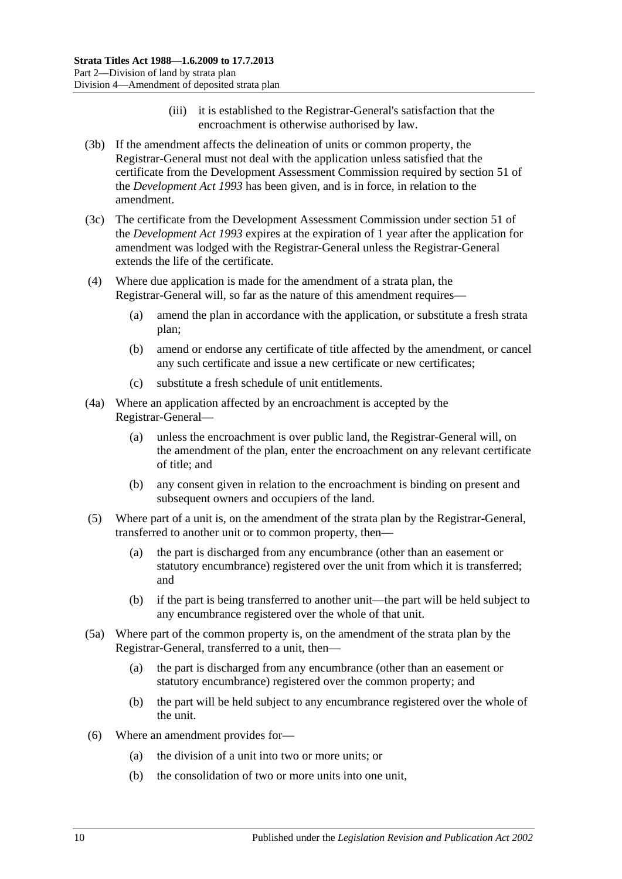- (iii) it is established to the Registrar-General's satisfaction that the encroachment is otherwise authorised by law.
- (3b) If the amendment affects the delineation of units or common property, the Registrar-General must not deal with the application unless satisfied that the certificate from the Development Assessment Commission required by section 51 of the *[Development Act](http://www.legislation.sa.gov.au/index.aspx?action=legref&type=act&legtitle=Development%20Act%201993) 1993* has been given, and is in force, in relation to the amendment.
- (3c) The certificate from the Development Assessment Commission under section 51 of the *[Development Act](http://www.legislation.sa.gov.au/index.aspx?action=legref&type=act&legtitle=Development%20Act%201993) 1993* expires at the expiration of 1 year after the application for amendment was lodged with the Registrar-General unless the Registrar-General extends the life of the certificate.
- (4) Where due application is made for the amendment of a strata plan, the Registrar-General will, so far as the nature of this amendment requires—
	- (a) amend the plan in accordance with the application, or substitute a fresh strata plan;
	- (b) amend or endorse any certificate of title affected by the amendment, or cancel any such certificate and issue a new certificate or new certificates;
	- (c) substitute a fresh schedule of unit entitlements.
- (4a) Where an application affected by an encroachment is accepted by the Registrar-General—
	- (a) unless the encroachment is over public land, the Registrar-General will, on the amendment of the plan, enter the encroachment on any relevant certificate of title; and
	- (b) any consent given in relation to the encroachment is binding on present and subsequent owners and occupiers of the land.
- (5) Where part of a unit is, on the amendment of the strata plan by the Registrar-General, transferred to another unit or to common property, then—
	- (a) the part is discharged from any encumbrance (other than an easement or statutory encumbrance) registered over the unit from which it is transferred; and
	- (b) if the part is being transferred to another unit—the part will be held subject to any encumbrance registered over the whole of that unit.
- (5a) Where part of the common property is, on the amendment of the strata plan by the Registrar-General, transferred to a unit, then—
	- (a) the part is discharged from any encumbrance (other than an easement or statutory encumbrance) registered over the common property; and
	- (b) the part will be held subject to any encumbrance registered over the whole of the unit.
- (6) Where an amendment provides for—
	- (a) the division of a unit into two or more units; or
	- (b) the consolidation of two or more units into one unit,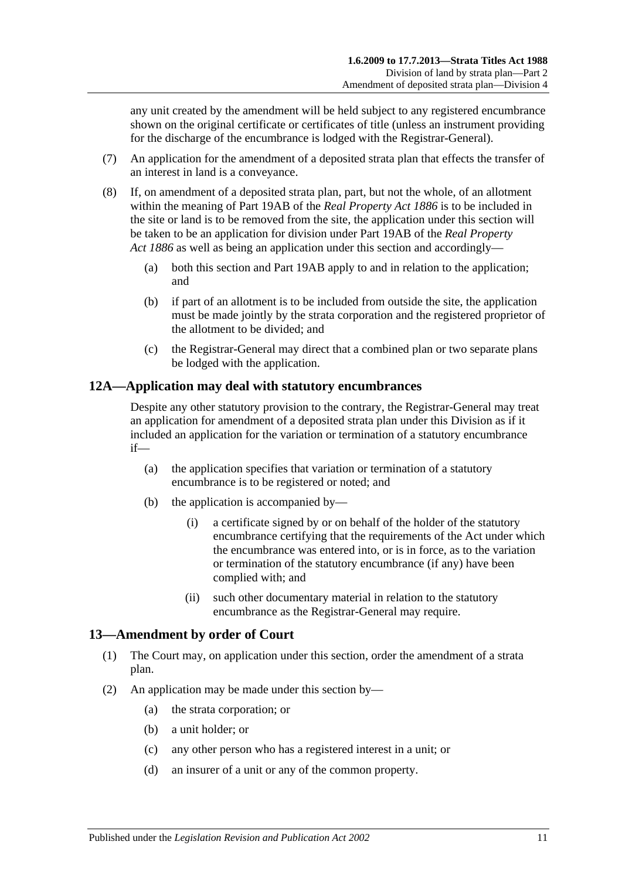any unit created by the amendment will be held subject to any registered encumbrance shown on the original certificate or certificates of title (unless an instrument providing for the discharge of the encumbrance is lodged with the Registrar-General).

- (7) An application for the amendment of a deposited strata plan that effects the transfer of an interest in land is a conveyance.
- (8) If, on amendment of a deposited strata plan, part, but not the whole, of an allotment within the meaning of Part 19AB of the *[Real Property Act](http://www.legislation.sa.gov.au/index.aspx?action=legref&type=act&legtitle=Real%20Property%20Act%201886) 1886* is to be included in the site or land is to be removed from the site, the application under this section will be taken to be an application for division under Part 19AB of the *[Real Property](http://www.legislation.sa.gov.au/index.aspx?action=legref&type=act&legtitle=Real%20Property%20Act%201886)  Act [1886](http://www.legislation.sa.gov.au/index.aspx?action=legref&type=act&legtitle=Real%20Property%20Act%201886)* as well as being an application under this section and accordingly—
	- (a) both this section and Part 19AB apply to and in relation to the application; and
	- (b) if part of an allotment is to be included from outside the site, the application must be made jointly by the strata corporation and the registered proprietor of the allotment to be divided; and
	- (c) the Registrar-General may direct that a combined plan or two separate plans be lodged with the application.

# <span id="page-10-0"></span>**12A—Application may deal with statutory encumbrances**

Despite any other statutory provision to the contrary, the Registrar-General may treat an application for amendment of a deposited strata plan under this Division as if it included an application for the variation or termination of a statutory encumbrance if—

- (a) the application specifies that variation or termination of a statutory encumbrance is to be registered or noted; and
- (b) the application is accompanied by—
	- (i) a certificate signed by or on behalf of the holder of the statutory encumbrance certifying that the requirements of the Act under which the encumbrance was entered into, or is in force, as to the variation or termination of the statutory encumbrance (if any) have been complied with; and
	- (ii) such other documentary material in relation to the statutory encumbrance as the Registrar-General may require.

# <span id="page-10-1"></span>**13—Amendment by order of Court**

- (1) The Court may, on application under this section, order the amendment of a strata plan.
- (2) An application may be made under this section by—
	- (a) the strata corporation; or
	- (b) a unit holder; or
	- (c) any other person who has a registered interest in a unit; or
	- (d) an insurer of a unit or any of the common property.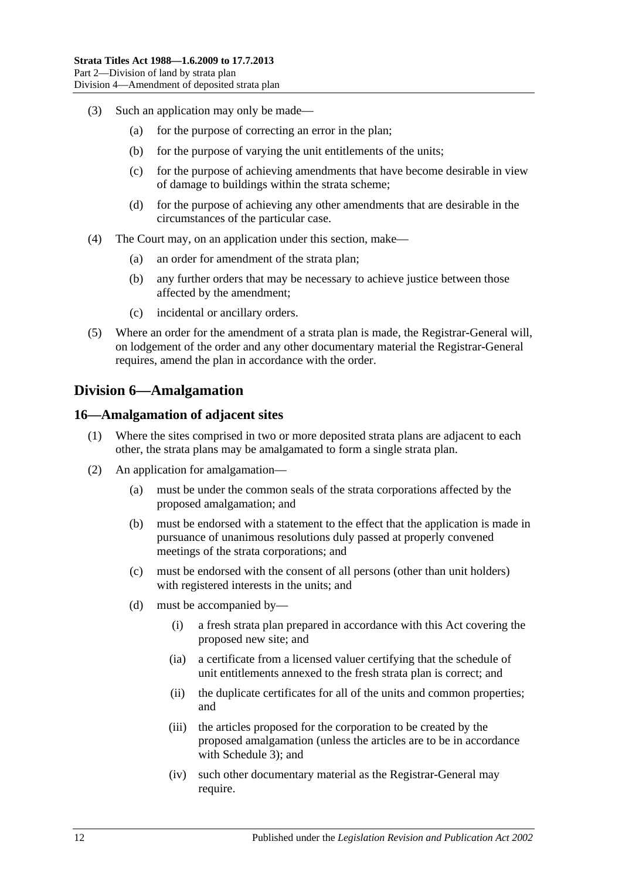- (3) Such an application may only be made—
	- (a) for the purpose of correcting an error in the plan;
	- (b) for the purpose of varying the unit entitlements of the units;
	- (c) for the purpose of achieving amendments that have become desirable in view of damage to buildings within the strata scheme;
	- (d) for the purpose of achieving any other amendments that are desirable in the circumstances of the particular case.
- (4) The Court may, on an application under this section, make—
	- (a) an order for amendment of the strata plan;
	- (b) any further orders that may be necessary to achieve justice between those affected by the amendment;
	- (c) incidental or ancillary orders.
- (5) Where an order for the amendment of a strata plan is made, the Registrar-General will, on lodgement of the order and any other documentary material the Registrar-General requires, amend the plan in accordance with the order.

# <span id="page-11-0"></span>**Division 6—Amalgamation**

### <span id="page-11-1"></span>**16—Amalgamation of adjacent sites**

- (1) Where the sites comprised in two or more deposited strata plans are adjacent to each other, the strata plans may be amalgamated to form a single strata plan.
- (2) An application for amalgamation—
	- (a) must be under the common seals of the strata corporations affected by the proposed amalgamation; and
	- (b) must be endorsed with a statement to the effect that the application is made in pursuance of unanimous resolutions duly passed at properly convened meetings of the strata corporations; and
	- (c) must be endorsed with the consent of all persons (other than unit holders) with registered interests in the units; and
	- (d) must be accompanied by—
		- (i) a fresh strata plan prepared in accordance with this Act covering the proposed new site; and
		- (ia) a certificate from a licensed valuer certifying that the schedule of unit entitlements annexed to the fresh strata plan is correct; and
		- (ii) the duplicate certificates for all of the units and common properties; and
		- (iii) the articles proposed for the corporation to be created by the proposed amalgamation (unless the articles are to be in accordance with [Schedule 3\)](#page-37-3); and
		- (iv) such other documentary material as the Registrar-General may require.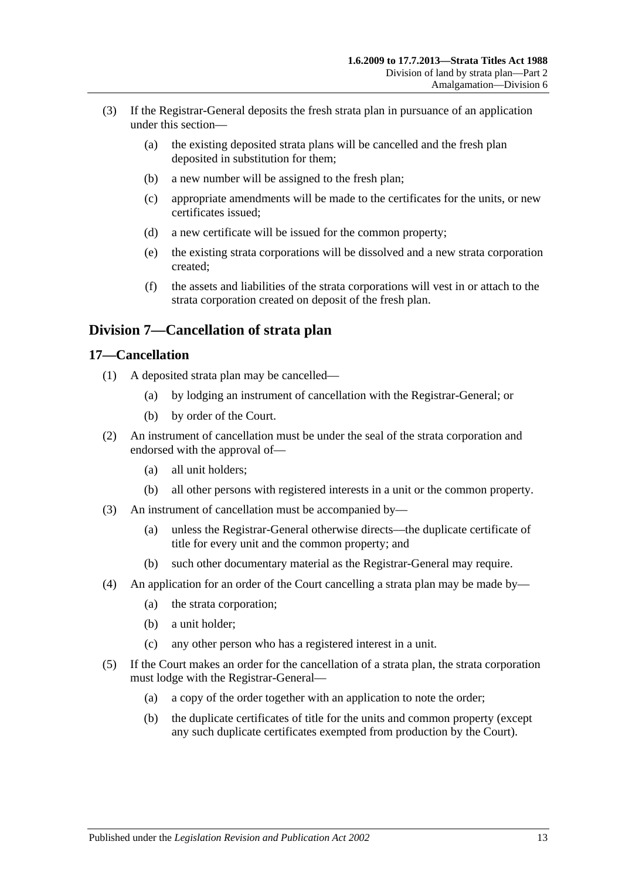- (3) If the Registrar-General deposits the fresh strata plan in pursuance of an application under this section—
	- (a) the existing deposited strata plans will be cancelled and the fresh plan deposited in substitution for them;
	- (b) a new number will be assigned to the fresh plan;
	- (c) appropriate amendments will be made to the certificates for the units, or new certificates issued;
	- (d) a new certificate will be issued for the common property;
	- (e) the existing strata corporations will be dissolved and a new strata corporation created;
	- (f) the assets and liabilities of the strata corporations will vest in or attach to the strata corporation created on deposit of the fresh plan.

# <span id="page-12-0"></span>**Division 7—Cancellation of strata plan**

### <span id="page-12-1"></span>**17—Cancellation**

- (1) A deposited strata plan may be cancelled—
	- (a) by lodging an instrument of cancellation with the Registrar-General; or
	- (b) by order of the Court.
- (2) An instrument of cancellation must be under the seal of the strata corporation and endorsed with the approval of—
	- (a) all unit holders;
	- (b) all other persons with registered interests in a unit or the common property.
- (3) An instrument of cancellation must be accompanied by—
	- (a) unless the Registrar-General otherwise directs—the duplicate certificate of title for every unit and the common property; and
	- (b) such other documentary material as the Registrar-General may require.
- (4) An application for an order of the Court cancelling a strata plan may be made by—
	- (a) the strata corporation;
	- (b) a unit holder;
	- (c) any other person who has a registered interest in a unit.
- (5) If the Court makes an order for the cancellation of a strata plan, the strata corporation must lodge with the Registrar-General—
	- (a) a copy of the order together with an application to note the order;
	- (b) the duplicate certificates of title for the units and common property (except any such duplicate certificates exempted from production by the Court).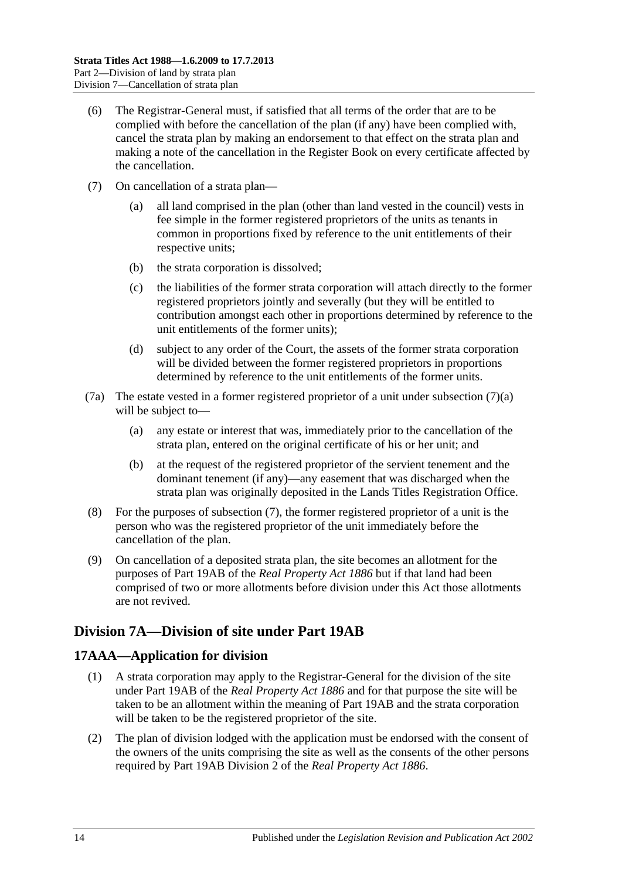- (6) The Registrar-General must, if satisfied that all terms of the order that are to be complied with before the cancellation of the plan (if any) have been complied with, cancel the strata plan by making an endorsement to that effect on the strata plan and making a note of the cancellation in the Register Book on every certificate affected by the cancellation.
- <span id="page-13-3"></span><span id="page-13-2"></span>(7) On cancellation of a strata plan—
	- (a) all land comprised in the plan (other than land vested in the council) vests in fee simple in the former registered proprietors of the units as tenants in common in proportions fixed by reference to the unit entitlements of their respective units;
	- (b) the strata corporation is dissolved;
	- (c) the liabilities of the former strata corporation will attach directly to the former registered proprietors jointly and severally (but they will be entitled to contribution amongst each other in proportions determined by reference to the unit entitlements of the former units);
	- (d) subject to any order of the Court, the assets of the former strata corporation will be divided between the former registered proprietors in proportions determined by reference to the unit entitlements of the former units.
- (7a) The estate vested in a former registered proprietor of a unit under [subsection](#page-13-2) (7)(a) will be subject to—
	- (a) any estate or interest that was, immediately prior to the cancellation of the strata plan, entered on the original certificate of his or her unit; and
	- (b) at the request of the registered proprietor of the servient tenement and the dominant tenement (if any)—any easement that was discharged when the strata plan was originally deposited in the Lands Titles Registration Office.
- (8) For the purposes of [subsection](#page-13-3) (7), the former registered proprietor of a unit is the person who was the registered proprietor of the unit immediately before the cancellation of the plan.
- (9) On cancellation of a deposited strata plan, the site becomes an allotment for the purposes of Part 19AB of the *[Real Property Act](http://www.legislation.sa.gov.au/index.aspx?action=legref&type=act&legtitle=Real%20Property%20Act%201886) 1886* but if that land had been comprised of two or more allotments before division under this Act those allotments are not revived.

# <span id="page-13-0"></span>**Division 7A—Division of site under Part 19AB**

# <span id="page-13-1"></span>**17AAA—Application for division**

- (1) A strata corporation may apply to the Registrar-General for the division of the site under Part 19AB of the *[Real Property Act](http://www.legislation.sa.gov.au/index.aspx?action=legref&type=act&legtitle=Real%20Property%20Act%201886) 1886* and for that purpose the site will be taken to be an allotment within the meaning of Part 19AB and the strata corporation will be taken to be the registered proprietor of the site.
- (2) The plan of division lodged with the application must be endorsed with the consent of the owners of the units comprising the site as well as the consents of the other persons required by Part 19AB Division 2 of the *[Real Property Act](http://www.legislation.sa.gov.au/index.aspx?action=legref&type=act&legtitle=Real%20Property%20Act%201886) 1886*.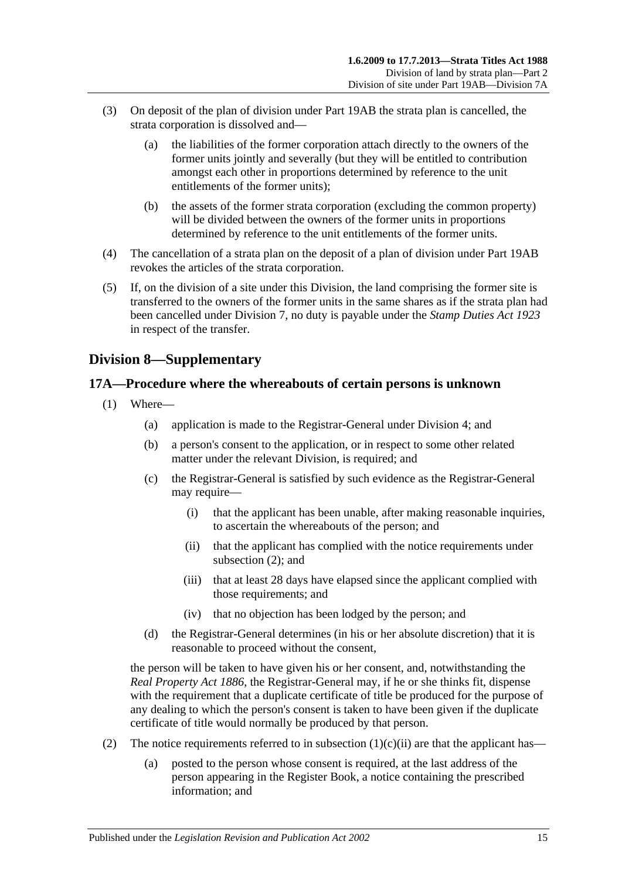- (3) On deposit of the plan of division under Part 19AB the strata plan is cancelled, the strata corporation is dissolved and—
	- (a) the liabilities of the former corporation attach directly to the owners of the former units jointly and severally (but they will be entitled to contribution amongst each other in proportions determined by reference to the unit entitlements of the former units);
	- (b) the assets of the former strata corporation (excluding the common property) will be divided between the owners of the former units in proportions determined by reference to the unit entitlements of the former units.
- (4) The cancellation of a strata plan on the deposit of a plan of division under Part 19AB revokes the articles of the strata corporation.
- (5) If, on the division of a site under this Division, the land comprising the former site is transferred to the owners of the former units in the same shares as if the strata plan had been cancelled under [Division 7,](#page-12-0) no duty is payable under the *[Stamp Duties Act](http://www.legislation.sa.gov.au/index.aspx?action=legref&type=act&legtitle=Stamp%20Duties%20Act%201923) 1923* in respect of the transfer.

# <span id="page-14-0"></span>**Division 8—Supplementary**

# <span id="page-14-1"></span>**17A—Procedure where the whereabouts of certain persons is unknown**

- <span id="page-14-3"></span>(1) Where—
	- (a) application is made to the Registrar-General under [Division 4;](#page-7-4) and
	- (b) a person's consent to the application, or in respect to some other related matter under the relevant Division, is required; and
	- (c) the Registrar-General is satisfied by such evidence as the Registrar-General may require—
		- (i) that the applicant has been unable, after making reasonable inquiries, to ascertain the whereabouts of the person; and
		- (ii) that the applicant has complied with the notice requirements under [subsection](#page-14-2) (2); and
		- (iii) that at least 28 days have elapsed since the applicant complied with those requirements; and
		- (iv) that no objection has been lodged by the person; and
	- (d) the Registrar-General determines (in his or her absolute discretion) that it is reasonable to proceed without the consent,

the person will be taken to have given his or her consent, and, notwithstanding the *[Real Property Act](http://www.legislation.sa.gov.au/index.aspx?action=legref&type=act&legtitle=Real%20Property%20Act%201886) 1886*, the Registrar-General may, if he or she thinks fit, dispense with the requirement that a duplicate certificate of title be produced for the purpose of any dealing to which the person's consent is taken to have been given if the duplicate certificate of title would normally be produced by that person.

- <span id="page-14-2"></span>(2) The notice requirements referred to in [subsection](#page-14-3)  $(1)(c)(ii)$  are that the applicant has—
	- (a) posted to the person whose consent is required, at the last address of the person appearing in the Register Book, a notice containing the prescribed information; and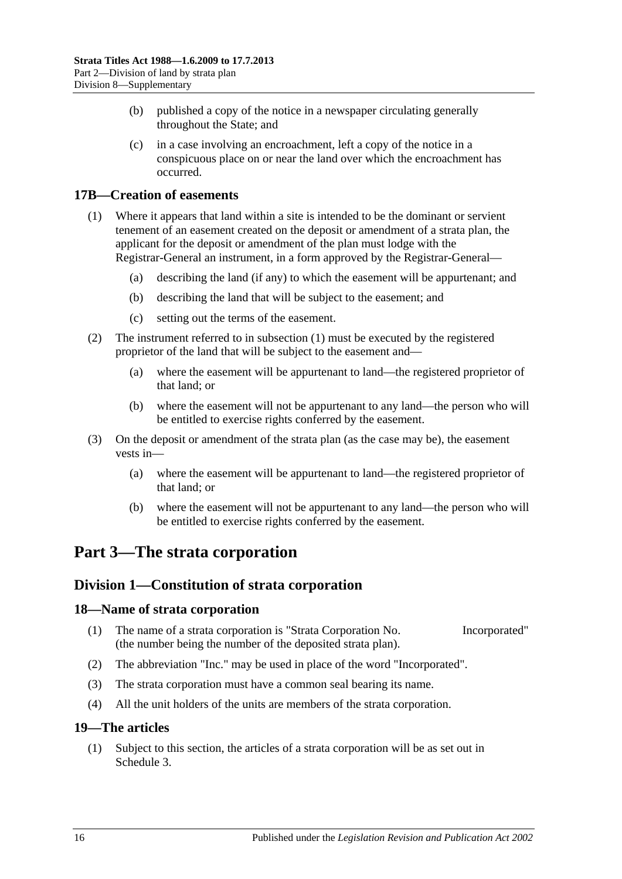- (b) published a copy of the notice in a newspaper circulating generally throughout the State; and
- (c) in a case involving an encroachment, left a copy of the notice in a conspicuous place on or near the land over which the encroachment has occurred.

# <span id="page-15-5"></span><span id="page-15-0"></span>**17B—Creation of easements**

- (1) Where it appears that land within a site is intended to be the dominant or servient tenement of an easement created on the deposit or amendment of a strata plan, the applicant for the deposit or amendment of the plan must lodge with the Registrar-General an instrument, in a form approved by the Registrar-General—
	- (a) describing the land (if any) to which the easement will be appurtenant; and
	- (b) describing the land that will be subject to the easement; and
	- (c) setting out the terms of the easement.
- (2) The instrument referred to in [subsection](#page-15-5) (1) must be executed by the registered proprietor of the land that will be subject to the easement and—
	- (a) where the easement will be appurtenant to land—the registered proprietor of that land; or
	- (b) where the easement will not be appurtenant to any land—the person who will be entitled to exercise rights conferred by the easement.
- (3) On the deposit or amendment of the strata plan (as the case may be), the easement vests in—
	- (a) where the easement will be appurtenant to land—the registered proprietor of that land; or
	- (b) where the easement will not be appurtenant to any land—the person who will be entitled to exercise rights conferred by the easement.

# <span id="page-15-2"></span><span id="page-15-1"></span>**Part 3—The strata corporation**

# **Division 1—Constitution of strata corporation**

#### <span id="page-15-3"></span>**18—Name of strata corporation**

- (1) The name of a strata corporation is "Strata Corporation No. Incorporated" (the number being the number of the deposited strata plan).
- (2) The abbreviation "Inc." may be used in place of the word "Incorporated".
- (3) The strata corporation must have a common seal bearing its name.
- (4) All the unit holders of the units are members of the strata corporation.

#### <span id="page-15-4"></span>**19—The articles**

(1) Subject to this section, the articles of a strata corporation will be as set out in [Schedule](#page-37-3) 3.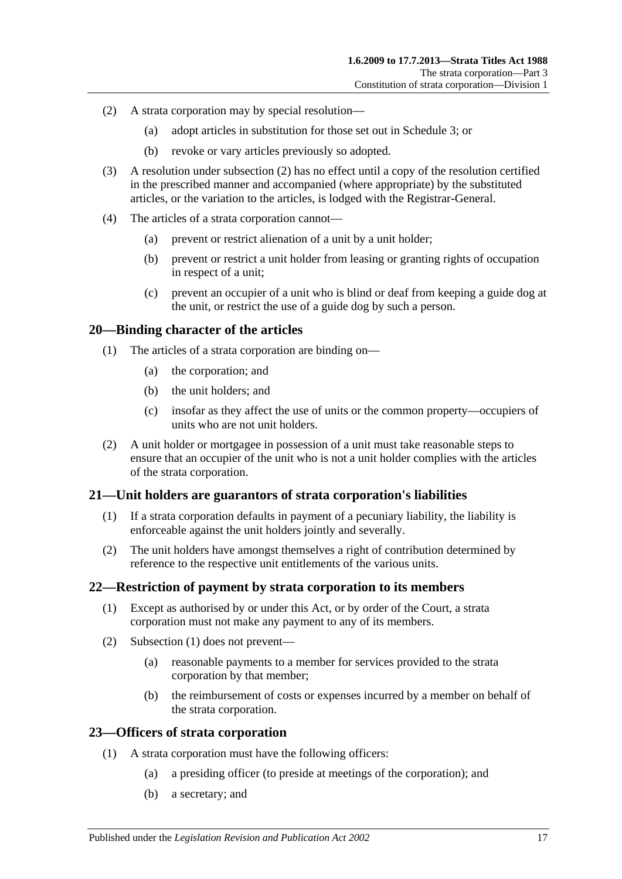- <span id="page-16-4"></span>(2) A strata corporation may by special resolution—
	- (a) adopt articles in substitution for those set out in [Schedule](#page-37-3) 3; or
	- (b) revoke or vary articles previously so adopted.
- (3) A resolution under [subsection](#page-16-4) (2) has no effect until a copy of the resolution certified in the prescribed manner and accompanied (where appropriate) by the substituted articles, or the variation to the articles, is lodged with the Registrar-General.
- (4) The articles of a strata corporation cannot—
	- (a) prevent or restrict alienation of a unit by a unit holder;
	- (b) prevent or restrict a unit holder from leasing or granting rights of occupation in respect of a unit;
	- (c) prevent an occupier of a unit who is blind or deaf from keeping a guide dog at the unit, or restrict the use of a guide dog by such a person.

#### <span id="page-16-0"></span>**20—Binding character of the articles**

- (1) The articles of a strata corporation are binding on—
	- (a) the corporation; and
	- (b) the unit holders; and
	- (c) insofar as they affect the use of units or the common property—occupiers of units who are not unit holders.
- (2) A unit holder or mortgagee in possession of a unit must take reasonable steps to ensure that an occupier of the unit who is not a unit holder complies with the articles of the strata corporation.

#### <span id="page-16-1"></span>**21—Unit holders are guarantors of strata corporation's liabilities**

- (1) If a strata corporation defaults in payment of a pecuniary liability, the liability is enforceable against the unit holders jointly and severally.
- (2) The unit holders have amongst themselves a right of contribution determined by reference to the respective unit entitlements of the various units.

#### <span id="page-16-5"></span><span id="page-16-2"></span>**22—Restriction of payment by strata corporation to its members**

- (1) Except as authorised by or under this Act, or by order of the Court, a strata corporation must not make any payment to any of its members.
- (2) [Subsection](#page-16-5) (1) does not prevent—
	- (a) reasonable payments to a member for services provided to the strata corporation by that member;
	- (b) the reimbursement of costs or expenses incurred by a member on behalf of the strata corporation.

#### <span id="page-16-3"></span>**23—Officers of strata corporation**

- (1) A strata corporation must have the following officers:
	- (a) a presiding officer (to preside at meetings of the corporation); and
	- (b) a secretary; and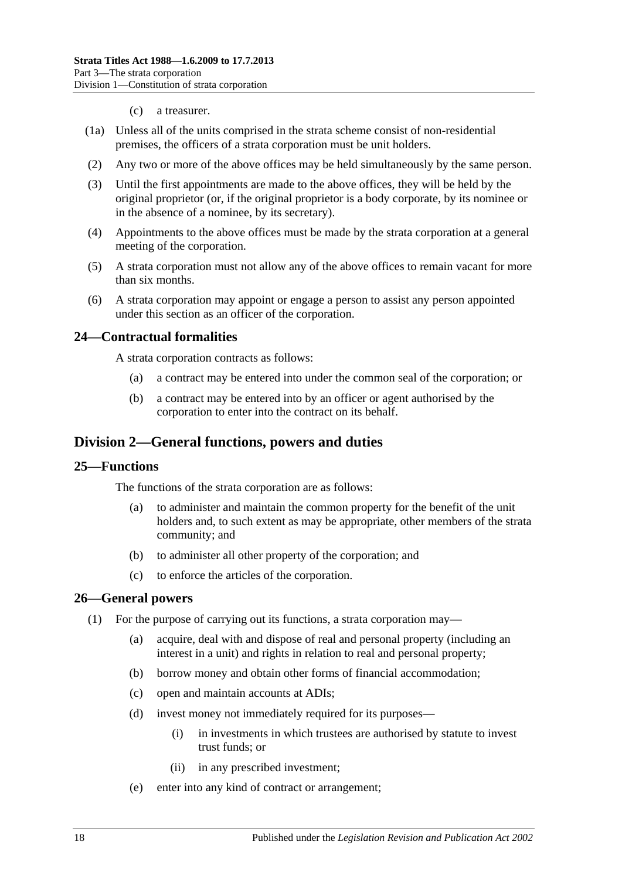#### (c) a treasurer.

- (1a) Unless all of the units comprised in the strata scheme consist of non-residential premises, the officers of a strata corporation must be unit holders.
- (2) Any two or more of the above offices may be held simultaneously by the same person.
- (3) Until the first appointments are made to the above offices, they will be held by the original proprietor (or, if the original proprietor is a body corporate, by its nominee or in the absence of a nominee, by its secretary).
- (4) Appointments to the above offices must be made by the strata corporation at a general meeting of the corporation.
- (5) A strata corporation must not allow any of the above offices to remain vacant for more than six months.
- (6) A strata corporation may appoint or engage a person to assist any person appointed under this section as an officer of the corporation.

#### <span id="page-17-0"></span>**24—Contractual formalities**

A strata corporation contracts as follows:

- (a) a contract may be entered into under the common seal of the corporation; or
- (b) a contract may be entered into by an officer or agent authorised by the corporation to enter into the contract on its behalf.

# <span id="page-17-1"></span>**Division 2—General functions, powers and duties**

#### <span id="page-17-2"></span>**25—Functions**

The functions of the strata corporation are as follows:

- (a) to administer and maintain the common property for the benefit of the unit holders and, to such extent as may be appropriate, other members of the strata community; and
- (b) to administer all other property of the corporation; and
- (c) to enforce the articles of the corporation.

#### <span id="page-17-3"></span>**26—General powers**

- (1) For the purpose of carrying out its functions, a strata corporation may—
	- (a) acquire, deal with and dispose of real and personal property (including an interest in a unit) and rights in relation to real and personal property;
	- (b) borrow money and obtain other forms of financial accommodation;
	- (c) open and maintain accounts at ADIs;
	- (d) invest money not immediately required for its purposes—
		- (i) in investments in which trustees are authorised by statute to invest trust funds; or
		- (ii) in any prescribed investment;
	- (e) enter into any kind of contract or arrangement;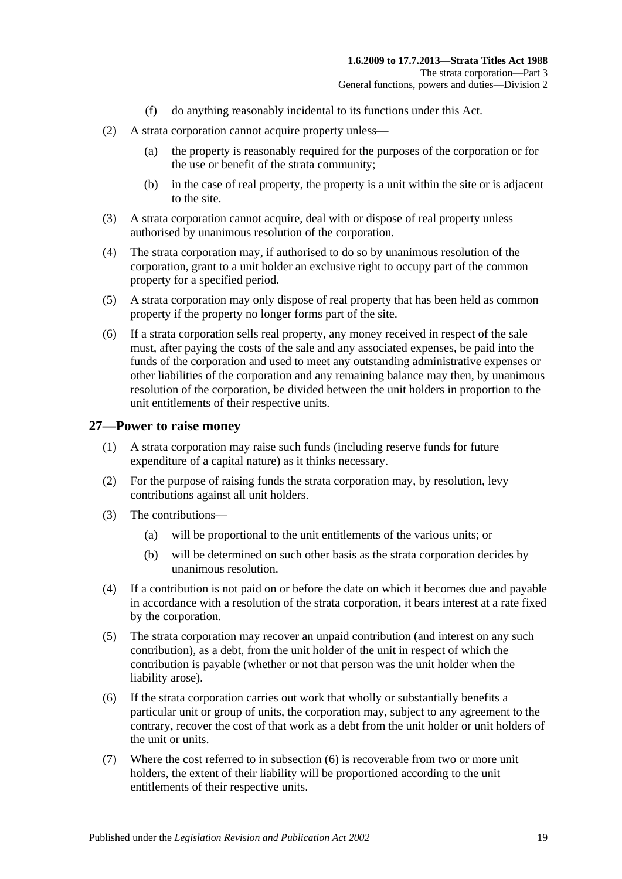- (f) do anything reasonably incidental to its functions under this Act.
- (2) A strata corporation cannot acquire property unless—
	- (a) the property is reasonably required for the purposes of the corporation or for the use or benefit of the strata community;
	- (b) in the case of real property, the property is a unit within the site or is adjacent to the site.
- (3) A strata corporation cannot acquire, deal with or dispose of real property unless authorised by unanimous resolution of the corporation.
- (4) The strata corporation may, if authorised to do so by unanimous resolution of the corporation, grant to a unit holder an exclusive right to occupy part of the common property for a specified period.
- (5) A strata corporation may only dispose of real property that has been held as common property if the property no longer forms part of the site.
- (6) If a strata corporation sells real property, any money received in respect of the sale must, after paying the costs of the sale and any associated expenses, be paid into the funds of the corporation and used to meet any outstanding administrative expenses or other liabilities of the corporation and any remaining balance may then, by unanimous resolution of the corporation, be divided between the unit holders in proportion to the unit entitlements of their respective units.

#### <span id="page-18-0"></span>**27—Power to raise money**

- (1) A strata corporation may raise such funds (including reserve funds for future expenditure of a capital nature) as it thinks necessary.
- (2) For the purpose of raising funds the strata corporation may, by resolution, levy contributions against all unit holders.
- (3) The contributions—
	- (a) will be proportional to the unit entitlements of the various units; or
	- (b) will be determined on such other basis as the strata corporation decides by unanimous resolution.
- (4) If a contribution is not paid on or before the date on which it becomes due and payable in accordance with a resolution of the strata corporation, it bears interest at a rate fixed by the corporation.
- (5) The strata corporation may recover an unpaid contribution (and interest on any such contribution), as a debt, from the unit holder of the unit in respect of which the contribution is payable (whether or not that person was the unit holder when the liability arose).
- <span id="page-18-1"></span>(6) If the strata corporation carries out work that wholly or substantially benefits a particular unit or group of units, the corporation may, subject to any agreement to the contrary, recover the cost of that work as a debt from the unit holder or unit holders of the unit or units.
- (7) Where the cost referred to in [subsection](#page-18-1) (6) is recoverable from two or more unit holders, the extent of their liability will be proportioned according to the unit entitlements of their respective units.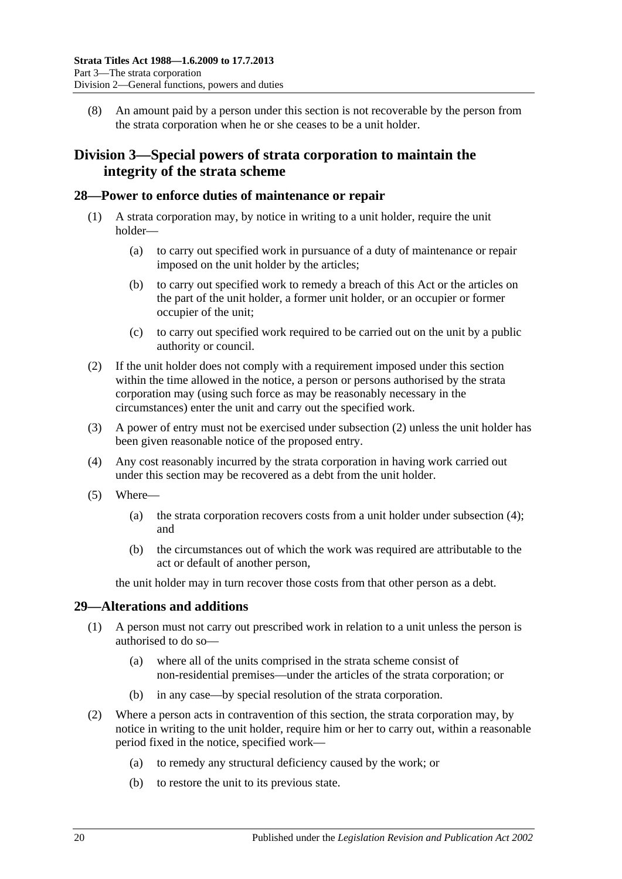(8) An amount paid by a person under this section is not recoverable by the person from the strata corporation when he or she ceases to be a unit holder.

# <span id="page-19-0"></span>**Division 3—Special powers of strata corporation to maintain the integrity of the strata scheme**

#### <span id="page-19-1"></span>**28—Power to enforce duties of maintenance or repair**

- (1) A strata corporation may, by notice in writing to a unit holder, require the unit holder—
	- (a) to carry out specified work in pursuance of a duty of maintenance or repair imposed on the unit holder by the articles;
	- (b) to carry out specified work to remedy a breach of this Act or the articles on the part of the unit holder, a former unit holder, or an occupier or former occupier of the unit;
	- (c) to carry out specified work required to be carried out on the unit by a public authority or council.
- <span id="page-19-3"></span>(2) If the unit holder does not comply with a requirement imposed under this section within the time allowed in the notice, a person or persons authorised by the strata corporation may (using such force as may be reasonably necessary in the circumstances) enter the unit and carry out the specified work.
- (3) A power of entry must not be exercised under [subsection](#page-19-3) (2) unless the unit holder has been given reasonable notice of the proposed entry.
- <span id="page-19-4"></span>(4) Any cost reasonably incurred by the strata corporation in having work carried out under this section may be recovered as a debt from the unit holder.
- (5) Where—
	- (a) the strata corporation recovers costs from a unit holder under [subsection](#page-19-4) (4); and
	- (b) the circumstances out of which the work was required are attributable to the act or default of another person,

the unit holder may in turn recover those costs from that other person as a debt.

# <span id="page-19-2"></span>**29—Alterations and additions**

- (1) A person must not carry out prescribed work in relation to a unit unless the person is authorised to do so—
	- (a) where all of the units comprised in the strata scheme consist of non-residential premises—under the articles of the strata corporation; or
	- (b) in any case—by special resolution of the strata corporation.
- (2) Where a person acts in contravention of this section, the strata corporation may, by notice in writing to the unit holder, require him or her to carry out, within a reasonable period fixed in the notice, specified work—
	- (a) to remedy any structural deficiency caused by the work; or
	- (b) to restore the unit to its previous state.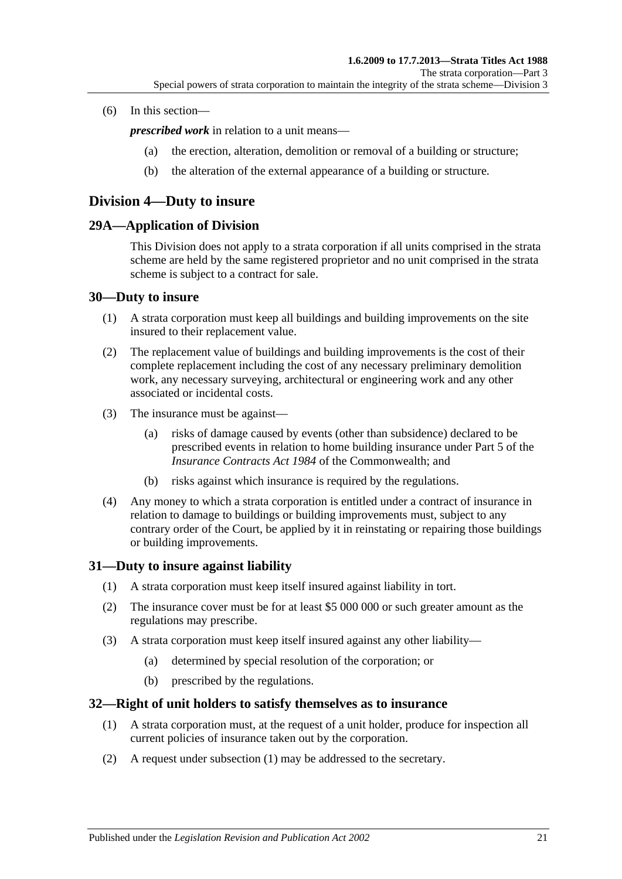#### (6) In this section—

*prescribed work* in relation to a unit means—

- (a) the erection, alteration, demolition or removal of a building or structure;
- (b) the alteration of the external appearance of a building or structure.

# <span id="page-20-0"></span>**Division 4—Duty to insure**

#### <span id="page-20-1"></span>**29A—Application of Division**

This Division does not apply to a strata corporation if all units comprised in the strata scheme are held by the same registered proprietor and no unit comprised in the strata scheme is subject to a contract for sale.

#### <span id="page-20-2"></span>**30—Duty to insure**

- (1) A strata corporation must keep all buildings and building improvements on the site insured to their replacement value.
- (2) The replacement value of buildings and building improvements is the cost of their complete replacement including the cost of any necessary preliminary demolition work, any necessary surveying, architectural or engineering work and any other associated or incidental costs.
- (3) The insurance must be against—
	- (a) risks of damage caused by events (other than subsidence) declared to be prescribed events in relation to home building insurance under Part 5 of the *Insurance Contracts Act 1984* of the Commonwealth; and
	- (b) risks against which insurance is required by the regulations.
- (4) Any money to which a strata corporation is entitled under a contract of insurance in relation to damage to buildings or building improvements must, subject to any contrary order of the Court, be applied by it in reinstating or repairing those buildings or building improvements.

#### <span id="page-20-3"></span>**31—Duty to insure against liability**

- (1) A strata corporation must keep itself insured against liability in tort.
- (2) The insurance cover must be for at least \$5 000 000 or such greater amount as the regulations may prescribe.
- (3) A strata corporation must keep itself insured against any other liability—
	- (a) determined by special resolution of the corporation; or
	- (b) prescribed by the regulations.

#### <span id="page-20-5"></span><span id="page-20-4"></span>**32—Right of unit holders to satisfy themselves as to insurance**

- (1) A strata corporation must, at the request of a unit holder, produce for inspection all current policies of insurance taken out by the corporation.
- (2) A request under [subsection](#page-20-5) (1) may be addressed to the secretary.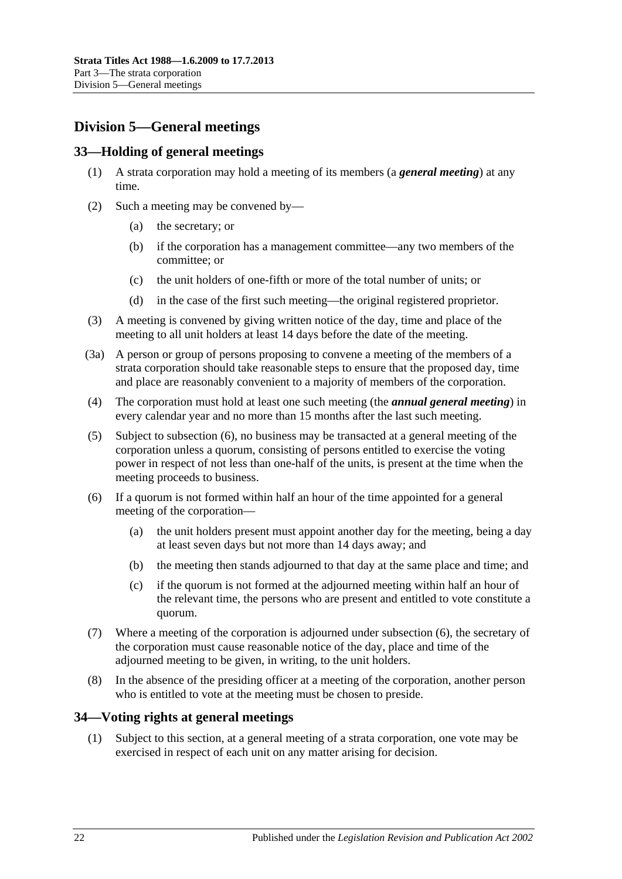# <span id="page-21-0"></span>**Division 5—General meetings**

# <span id="page-21-1"></span>**33—Holding of general meetings**

- (1) A strata corporation may hold a meeting of its members (a *general meeting*) at any time.
- (2) Such a meeting may be convened by—
	- (a) the secretary; or
	- (b) if the corporation has a management committee—any two members of the committee; or
	- (c) the unit holders of one-fifth or more of the total number of units; or
	- (d) in the case of the first such meeting—the original registered proprietor.
- (3) A meeting is convened by giving written notice of the day, time and place of the meeting to all unit holders at least 14 days before the date of the meeting.
- (3a) A person or group of persons proposing to convene a meeting of the members of a strata corporation should take reasonable steps to ensure that the proposed day, time and place are reasonably convenient to a majority of members of the corporation.
- (4) The corporation must hold at least one such meeting (the *annual general meeting*) in every calendar year and no more than 15 months after the last such meeting.
- (5) Subject to [subsection](#page-21-3) (6), no business may be transacted at a general meeting of the corporation unless a quorum, consisting of persons entitled to exercise the voting power in respect of not less than one-half of the units, is present at the time when the meeting proceeds to business.
- <span id="page-21-3"></span>(6) If a quorum is not formed within half an hour of the time appointed for a general meeting of the corporation—
	- (a) the unit holders present must appoint another day for the meeting, being a day at least seven days but not more than 14 days away; and
	- (b) the meeting then stands adjourned to that day at the same place and time; and
	- (c) if the quorum is not formed at the adjourned meeting within half an hour of the relevant time, the persons who are present and entitled to vote constitute a quorum.
- (7) Where a meeting of the corporation is adjourned under [subsection](#page-21-3) (6), the secretary of the corporation must cause reasonable notice of the day, place and time of the adjourned meeting to be given, in writing, to the unit holders.
- (8) In the absence of the presiding officer at a meeting of the corporation, another person who is entitled to vote at the meeting must be chosen to preside.

# <span id="page-21-2"></span>**34—Voting rights at general meetings**

(1) Subject to this section, at a general meeting of a strata corporation, one vote may be exercised in respect of each unit on any matter arising for decision.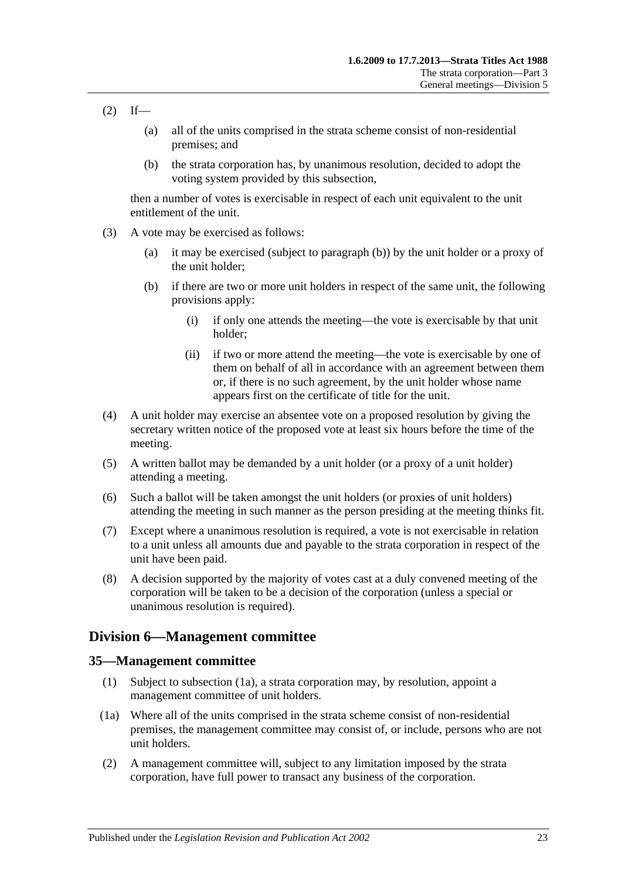- $(2)$  If—
	- (a) all of the units comprised in the strata scheme consist of non-residential premises; and
	- (b) the strata corporation has, by unanimous resolution, decided to adopt the voting system provided by this subsection,

then a number of votes is exercisable in respect of each unit equivalent to the unit entitlement of the unit.

- <span id="page-22-2"></span>(3) A vote may be exercised as follows:
	- (a) it may be exercised (subject to [paragraph](#page-22-2) (b)) by the unit holder or a proxy of the unit holder;
	- (b) if there are two or more unit holders in respect of the same unit, the following provisions apply:
		- (i) if only one attends the meeting—the vote is exercisable by that unit holder;
		- (ii) if two or more attend the meeting—the vote is exercisable by one of them on behalf of all in accordance with an agreement between them or, if there is no such agreement, by the unit holder whose name appears first on the certificate of title for the unit.
- (4) A unit holder may exercise an absentee vote on a proposed resolution by giving the secretary written notice of the proposed vote at least six hours before the time of the meeting.
- (5) A written ballot may be demanded by a unit holder (or a proxy of a unit holder) attending a meeting.
- (6) Such a ballot will be taken amongst the unit holders (or proxies of unit holders) attending the meeting in such manner as the person presiding at the meeting thinks fit.
- (7) Except where a unanimous resolution is required, a vote is not exercisable in relation to a unit unless all amounts due and payable to the strata corporation in respect of the unit have been paid.
- (8) A decision supported by the majority of votes cast at a duly convened meeting of the corporation will be taken to be a decision of the corporation (unless a special or unanimous resolution is required).

# <span id="page-22-0"></span>**Division 6—Management committee**

#### <span id="page-22-1"></span>**35—Management committee**

- (1) Subject to [subsection](#page-22-3) (1a), a strata corporation may, by resolution, appoint a management committee of unit holders.
- <span id="page-22-3"></span>(1a) Where all of the units comprised in the strata scheme consist of non-residential premises, the management committee may consist of, or include, persons who are not unit holders.
- (2) A management committee will, subject to any limitation imposed by the strata corporation, have full power to transact any business of the corporation.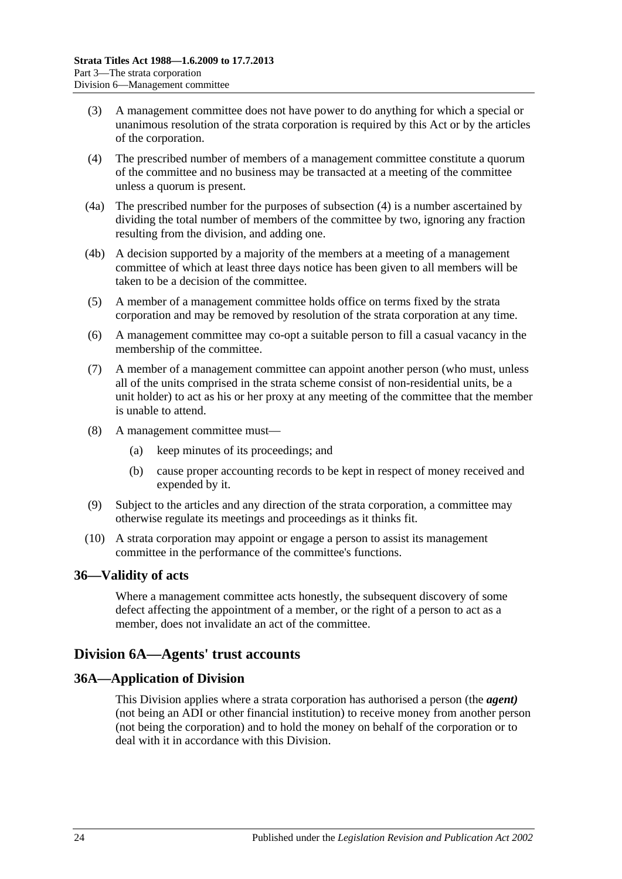- (3) A management committee does not have power to do anything for which a special or unanimous resolution of the strata corporation is required by this Act or by the articles of the corporation.
- <span id="page-23-3"></span>(4) The prescribed number of members of a management committee constitute a quorum of the committee and no business may be transacted at a meeting of the committee unless a quorum is present.
- (4a) The prescribed number for the purposes of [subsection](#page-23-3) (4) is a number ascertained by dividing the total number of members of the committee by two, ignoring any fraction resulting from the division, and adding one.
- (4b) A decision supported by a majority of the members at a meeting of a management committee of which at least three days notice has been given to all members will be taken to be a decision of the committee.
- (5) A member of a management committee holds office on terms fixed by the strata corporation and may be removed by resolution of the strata corporation at any time.
- (6) A management committee may co-opt a suitable person to fill a casual vacancy in the membership of the committee.
- (7) A member of a management committee can appoint another person (who must, unless all of the units comprised in the strata scheme consist of non-residential units, be a unit holder) to act as his or her proxy at any meeting of the committee that the member is unable to attend.
- (8) A management committee must—
	- (a) keep minutes of its proceedings; and
	- (b) cause proper accounting records to be kept in respect of money received and expended by it.
- (9) Subject to the articles and any direction of the strata corporation, a committee may otherwise regulate its meetings and proceedings as it thinks fit.
- (10) A strata corporation may appoint or engage a person to assist its management committee in the performance of the committee's functions.

# <span id="page-23-0"></span>**36—Validity of acts**

Where a management committee acts honestly, the subsequent discovery of some defect affecting the appointment of a member, or the right of a person to act as a member, does not invalidate an act of the committee.

# <span id="page-23-1"></span>**Division 6A—Agents' trust accounts**

# <span id="page-23-2"></span>**36A—Application of Division**

This Division applies where a strata corporation has authorised a person (the *agent)* (not being an ADI or other financial institution) to receive money from another person (not being the corporation) and to hold the money on behalf of the corporation or to deal with it in accordance with this Division.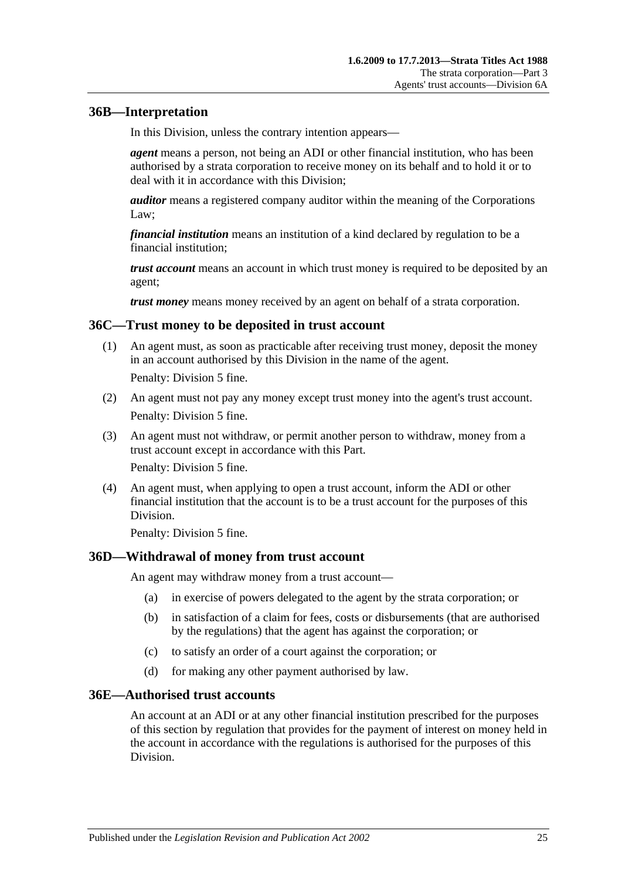# <span id="page-24-0"></span>**36B—Interpretation**

In this Division, unless the contrary intention appears—

*agent* means a person, not being an ADI or other financial institution, who has been authorised by a strata corporation to receive money on its behalf and to hold it or to deal with it in accordance with this Division;

*auditor* means a registered company auditor within the meaning of the Corporations Law;

*financial institution* means an institution of a kind declared by regulation to be a financial institution;

*trust account* means an account in which trust money is required to be deposited by an agent;

*trust money* means money received by an agent on behalf of a strata corporation.

#### <span id="page-24-1"></span>**36C—Trust money to be deposited in trust account**

(1) An agent must, as soon as practicable after receiving trust money, deposit the money in an account authorised by this Division in the name of the agent.

Penalty: Division 5 fine.

- (2) An agent must not pay any money except trust money into the agent's trust account. Penalty: Division 5 fine.
- (3) An agent must not withdraw, or permit another person to withdraw, money from a trust account except in accordance with this Part. Penalty: Division 5 fine.
- (4) An agent must, when applying to open a trust account, inform the ADI or other financial institution that the account is to be a trust account for the purposes of this Division.

Penalty: Division 5 fine.

#### <span id="page-24-2"></span>**36D—Withdrawal of money from trust account**

An agent may withdraw money from a trust account—

- (a) in exercise of powers delegated to the agent by the strata corporation; or
- (b) in satisfaction of a claim for fees, costs or disbursements (that are authorised by the regulations) that the agent has against the corporation; or
- (c) to satisfy an order of a court against the corporation; or
- (d) for making any other payment authorised by law.

#### <span id="page-24-3"></span>**36E—Authorised trust accounts**

An account at an ADI or at any other financial institution prescribed for the purposes of this section by regulation that provides for the payment of interest on money held in the account in accordance with the regulations is authorised for the purposes of this Division.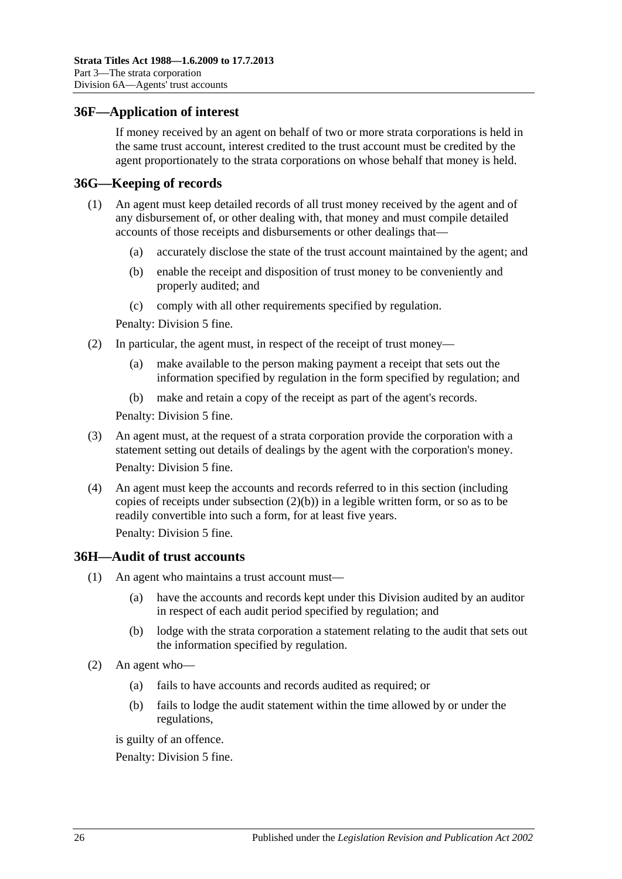### <span id="page-25-0"></span>**36F—Application of interest**

If money received by an agent on behalf of two or more strata corporations is held in the same trust account, interest credited to the trust account must be credited by the agent proportionately to the strata corporations on whose behalf that money is held.

#### <span id="page-25-1"></span>**36G—Keeping of records**

- (1) An agent must keep detailed records of all trust money received by the agent and of any disbursement of, or other dealing with, that money and must compile detailed accounts of those receipts and disbursements or other dealings that—
	- (a) accurately disclose the state of the trust account maintained by the agent; and
	- (b) enable the receipt and disposition of trust money to be conveniently and properly audited; and
	- (c) comply with all other requirements specified by regulation.

Penalty: Division 5 fine.

- <span id="page-25-3"></span>(2) In particular, the agent must, in respect of the receipt of trust money—
	- (a) make available to the person making payment a receipt that sets out the information specified by regulation in the form specified by regulation; and
	- (b) make and retain a copy of the receipt as part of the agent's records.

Penalty: Division 5 fine.

- (3) An agent must, at the request of a strata corporation provide the corporation with a statement setting out details of dealings by the agent with the corporation's money. Penalty: Division 5 fine.
- (4) An agent must keep the accounts and records referred to in this section (including copies of receipts under [subsection](#page-25-3) (2)(b)) in a legible written form, or so as to be readily convertible into such a form, for at least five years.

Penalty: Division 5 fine.

#### <span id="page-25-2"></span>**36H—Audit of trust accounts**

- (1) An agent who maintains a trust account must—
	- (a) have the accounts and records kept under this Division audited by an auditor in respect of each audit period specified by regulation; and
	- (b) lodge with the strata corporation a statement relating to the audit that sets out the information specified by regulation.
- (2) An agent who—
	- (a) fails to have accounts and records audited as required; or
	- (b) fails to lodge the audit statement within the time allowed by or under the regulations,

is guilty of an offence.

Penalty: Division 5 fine.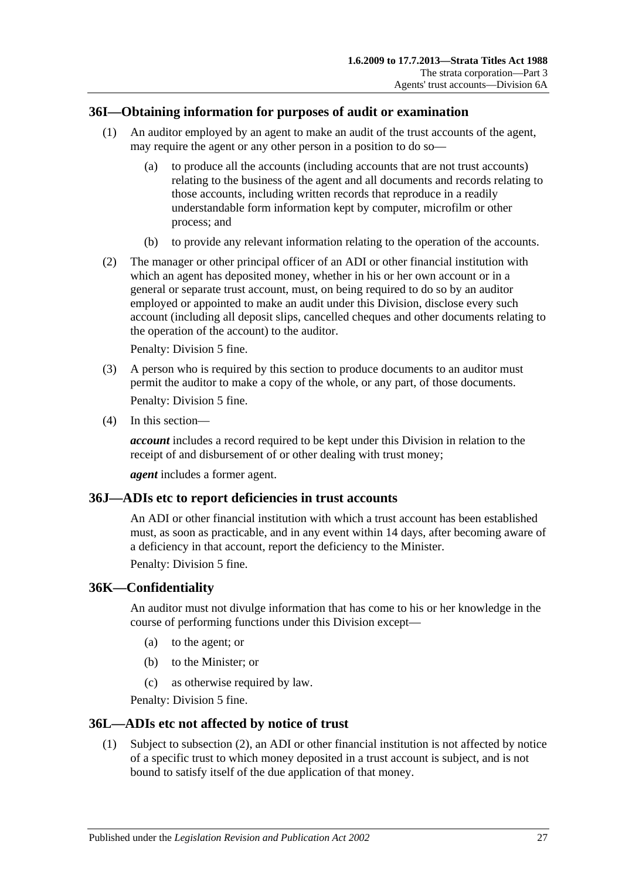# <span id="page-26-0"></span>**36I—Obtaining information for purposes of audit or examination**

- (1) An auditor employed by an agent to make an audit of the trust accounts of the agent, may require the agent or any other person in a position to do so—
	- (a) to produce all the accounts (including accounts that are not trust accounts) relating to the business of the agent and all documents and records relating to those accounts, including written records that reproduce in a readily understandable form information kept by computer, microfilm or other process; and
	- (b) to provide any relevant information relating to the operation of the accounts.
- (2) The manager or other principal officer of an ADI or other financial institution with which an agent has deposited money, whether in his or her own account or in a general or separate trust account, must, on being required to do so by an auditor employed or appointed to make an audit under this Division, disclose every such account (including all deposit slips, cancelled cheques and other documents relating to the operation of the account) to the auditor.

Penalty: Division 5 fine.

- (3) A person who is required by this section to produce documents to an auditor must permit the auditor to make a copy of the whole, or any part, of those documents. Penalty: Division 5 fine.
- (4) In this section—

*account* includes a record required to be kept under this Division in relation to the receipt of and disbursement of or other dealing with trust money;

*agent* includes a former agent.

#### <span id="page-26-1"></span>**36J—ADIs etc to report deficiencies in trust accounts**

An ADI or other financial institution with which a trust account has been established must, as soon as practicable, and in any event within 14 days, after becoming aware of a deficiency in that account, report the deficiency to the Minister.

Penalty: Division 5 fine.

#### <span id="page-26-2"></span>**36K—Confidentiality**

An auditor must not divulge information that has come to his or her knowledge in the course of performing functions under this Division except—

- (a) to the agent; or
- (b) to the Minister; or
- (c) as otherwise required by law.

Penalty: Division 5 fine.

#### <span id="page-26-3"></span>**36L—ADIs etc not affected by notice of trust**

(1) Subject to [subsection](#page-27-4) (2), an ADI or other financial institution is not affected by notice of a specific trust to which money deposited in a trust account is subject, and is not bound to satisfy itself of the due application of that money.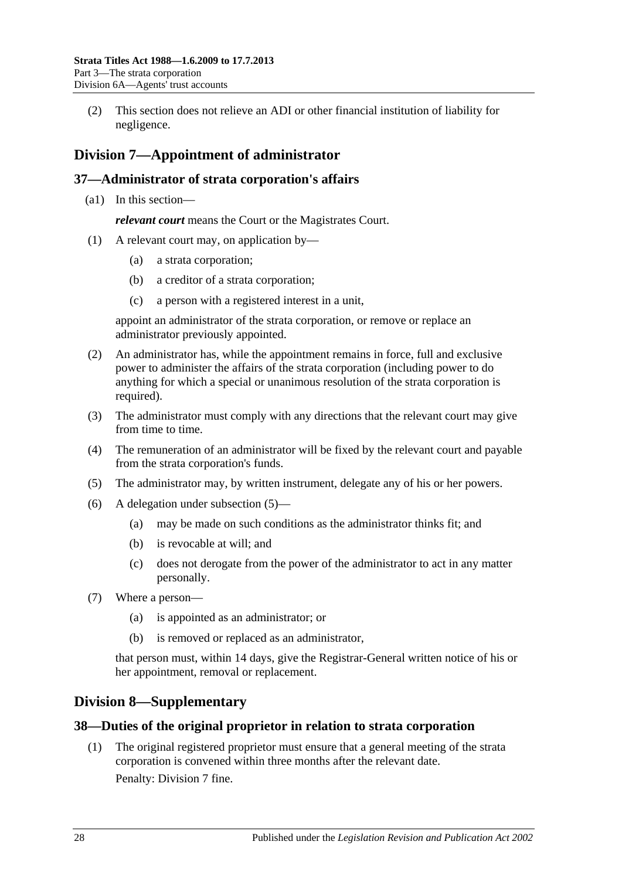<span id="page-27-4"></span>(2) This section does not relieve an ADI or other financial institution of liability for negligence.

# <span id="page-27-0"></span>**Division 7—Appointment of administrator**

# <span id="page-27-1"></span>**37—Administrator of strata corporation's affairs**

(a1) In this section—

*relevant court* means the Court or the Magistrates Court.

- (1) A relevant court may, on application by—
	- (a) a strata corporation;
	- (b) a creditor of a strata corporation;
	- (c) a person with a registered interest in a unit,

appoint an administrator of the strata corporation, or remove or replace an administrator previously appointed.

- (2) An administrator has, while the appointment remains in force, full and exclusive power to administer the affairs of the strata corporation (including power to do anything for which a special or unanimous resolution of the strata corporation is required).
- (3) The administrator must comply with any directions that the relevant court may give from time to time.
- (4) The remuneration of an administrator will be fixed by the relevant court and payable from the strata corporation's funds.
- <span id="page-27-5"></span>(5) The administrator may, by written instrument, delegate any of his or her powers.
- (6) A delegation under [subsection](#page-27-5) (5)—
	- (a) may be made on such conditions as the administrator thinks fit; and
	- (b) is revocable at will; and
	- (c) does not derogate from the power of the administrator to act in any matter personally.
- (7) Where a person—
	- (a) is appointed as an administrator; or
	- (b) is removed or replaced as an administrator,

that person must, within 14 days, give the Registrar-General written notice of his or her appointment, removal or replacement.

# <span id="page-27-2"></span>**Division 8—Supplementary**

# <span id="page-27-3"></span>**38—Duties of the original proprietor in relation to strata corporation**

(1) The original registered proprietor must ensure that a general meeting of the strata corporation is convened within three months after the relevant date.

Penalty: Division 7 fine.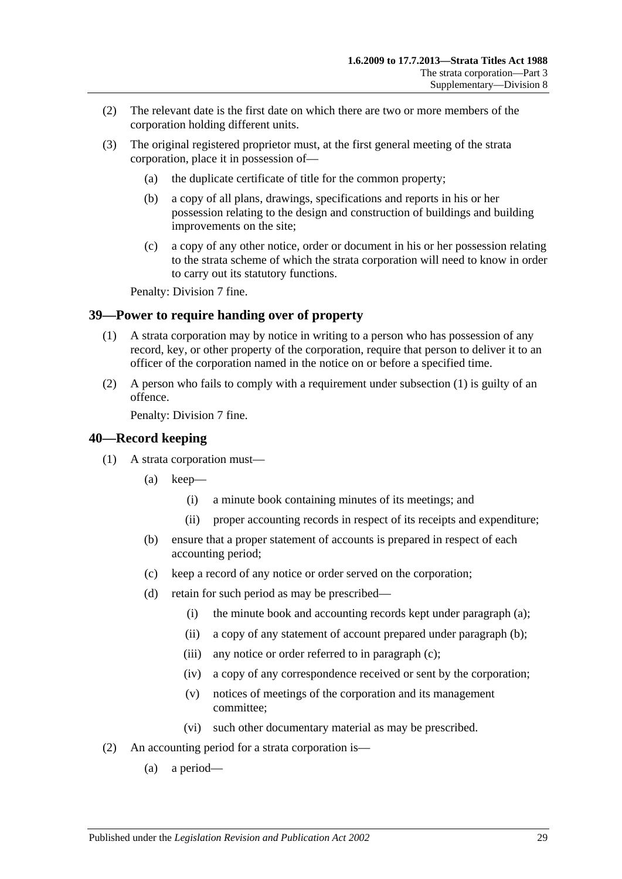- (2) The relevant date is the first date on which there are two or more members of the corporation holding different units.
- (3) The original registered proprietor must, at the first general meeting of the strata corporation, place it in possession of—
	- (a) the duplicate certificate of title for the common property;
	- (b) a copy of all plans, drawings, specifications and reports in his or her possession relating to the design and construction of buildings and building improvements on the site;
	- (c) a copy of any other notice, order or document in his or her possession relating to the strata scheme of which the strata corporation will need to know in order to carry out its statutory functions.

Penalty: Division 7 fine.

# <span id="page-28-2"></span><span id="page-28-0"></span>**39—Power to require handing over of property**

- (1) A strata corporation may by notice in writing to a person who has possession of any record, key, or other property of the corporation, require that person to deliver it to an officer of the corporation named in the notice on or before a specified time.
- (2) A person who fails to comply with a requirement under [subsection](#page-28-2) (1) is guilty of an offence.

Penalty: Division 7 fine.

### <span id="page-28-1"></span>**40—Record keeping**

- <span id="page-28-5"></span><span id="page-28-4"></span><span id="page-28-3"></span>(1) A strata corporation must—
	- (a) keep—
		- (i) a minute book containing minutes of its meetings; and
		- (ii) proper accounting records in respect of its receipts and expenditure;
	- (b) ensure that a proper statement of accounts is prepared in respect of each accounting period;
	- (c) keep a record of any notice or order served on the corporation;
	- (d) retain for such period as may be prescribed—
		- (i) the minute book and accounting records kept under [paragraph](#page-28-3) (a);
		- (ii) a copy of any statement of account prepared under [paragraph](#page-28-4) (b);
		- (iii) any notice or order referred to in [paragraph](#page-28-5) (c);
		- (iv) a copy of any correspondence received or sent by the corporation;
		- (v) notices of meetings of the corporation and its management committee;
		- (vi) such other documentary material as may be prescribed.
- (2) An accounting period for a strata corporation is—
	- (a) a period—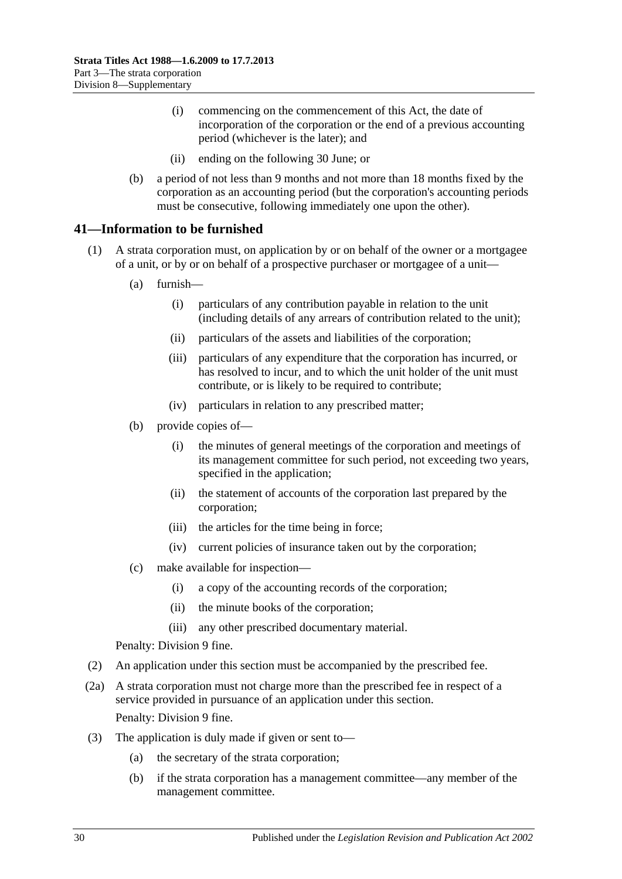- (i) commencing on the commencement of this Act, the date of incorporation of the corporation or the end of a previous accounting period (whichever is the later); and
- (ii) ending on the following 30 June; or
- (b) a period of not less than 9 months and not more than 18 months fixed by the corporation as an accounting period (but the corporation's accounting periods must be consecutive, following immediately one upon the other).

# <span id="page-29-0"></span>**41—Information to be furnished**

- <span id="page-29-1"></span>(1) A strata corporation must, on application by or on behalf of the owner or a mortgagee of a unit, or by or on behalf of a prospective purchaser or mortgagee of a unit—
	- (a) furnish—
		- (i) particulars of any contribution payable in relation to the unit (including details of any arrears of contribution related to the unit);
		- (ii) particulars of the assets and liabilities of the corporation;
		- (iii) particulars of any expenditure that the corporation has incurred, or has resolved to incur, and to which the unit holder of the unit must contribute, or is likely to be required to contribute;
		- (iv) particulars in relation to any prescribed matter;
	- (b) provide copies of—
		- (i) the minutes of general meetings of the corporation and meetings of its management committee for such period, not exceeding two years, specified in the application;
		- (ii) the statement of accounts of the corporation last prepared by the corporation;
		- (iii) the articles for the time being in force;
		- (iv) current policies of insurance taken out by the corporation;
	- (c) make available for inspection—
		- (i) a copy of the accounting records of the corporation;
		- (ii) the minute books of the corporation;
		- (iii) any other prescribed documentary material.

Penalty: Division 9 fine.

- (2) An application under this section must be accompanied by the prescribed fee.
- (2a) A strata corporation must not charge more than the prescribed fee in respect of a service provided in pursuance of an application under this section. Penalty: Division 9 fine.
- (3) The application is duly made if given or sent to—
	- (a) the secretary of the strata corporation;
	- (b) if the strata corporation has a management committee—any member of the management committee.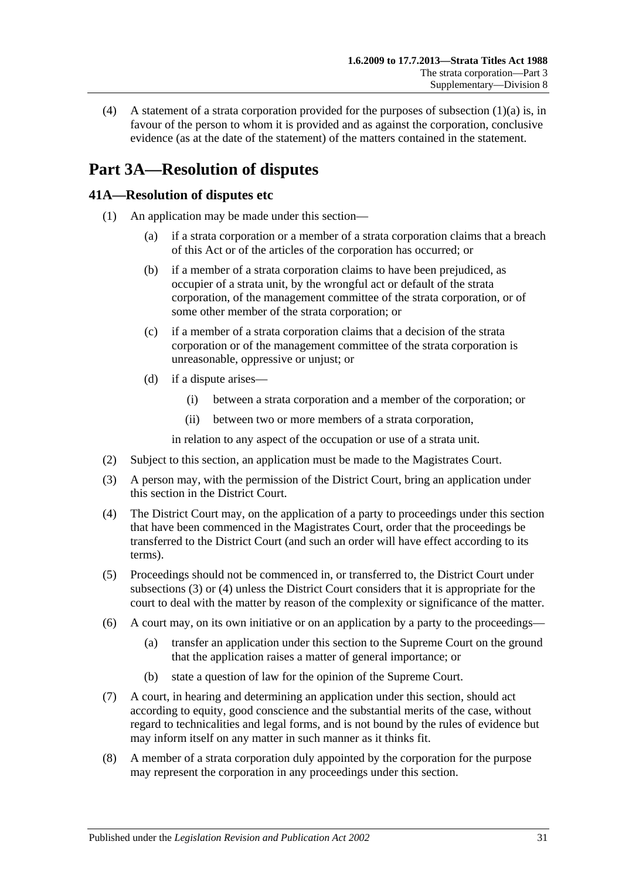(4) A statement of a strata corporation provided for the purposes of [subsection](#page-29-1)  $(1)(a)$  is, in favour of the person to whom it is provided and as against the corporation, conclusive evidence (as at the date of the statement) of the matters contained in the statement.

# <span id="page-30-0"></span>**Part 3A—Resolution of disputes**

# <span id="page-30-1"></span>**41A—Resolution of disputes etc**

- (1) An application may be made under this section—
	- (a) if a strata corporation or a member of a strata corporation claims that a breach of this Act or of the articles of the corporation has occurred; or
	- (b) if a member of a strata corporation claims to have been prejudiced, as occupier of a strata unit, by the wrongful act or default of the strata corporation, of the management committee of the strata corporation, or of some other member of the strata corporation; or
	- (c) if a member of a strata corporation claims that a decision of the strata corporation or of the management committee of the strata corporation is unreasonable, oppressive or unjust; or
	- (d) if a dispute arises—
		- (i) between a strata corporation and a member of the corporation; or
		- (ii) between two or more members of a strata corporation,

in relation to any aspect of the occupation or use of a strata unit.

- (2) Subject to this section, an application must be made to the Magistrates Court.
- <span id="page-30-2"></span>(3) A person may, with the permission of the District Court, bring an application under this section in the District Court.
- <span id="page-30-3"></span>(4) The District Court may, on the application of a party to proceedings under this section that have been commenced in the Magistrates Court, order that the proceedings be transferred to the District Court (and such an order will have effect according to its terms).
- (5) Proceedings should not be commenced in, or transferred to, the District Court under [subsections](#page-30-2) (3) or [\(4\)](#page-30-3) unless the District Court considers that it is appropriate for the court to deal with the matter by reason of the complexity or significance of the matter.
- (6) A court may, on its own initiative or on an application by a party to the proceedings—
	- (a) transfer an application under this section to the Supreme Court on the ground that the application raises a matter of general importance; or
	- (b) state a question of law for the opinion of the Supreme Court.
- (7) A court, in hearing and determining an application under this section, should act according to equity, good conscience and the substantial merits of the case, without regard to technicalities and legal forms, and is not bound by the rules of evidence but may inform itself on any matter in such manner as it thinks fit.
- (8) A member of a strata corporation duly appointed by the corporation for the purpose may represent the corporation in any proceedings under this section.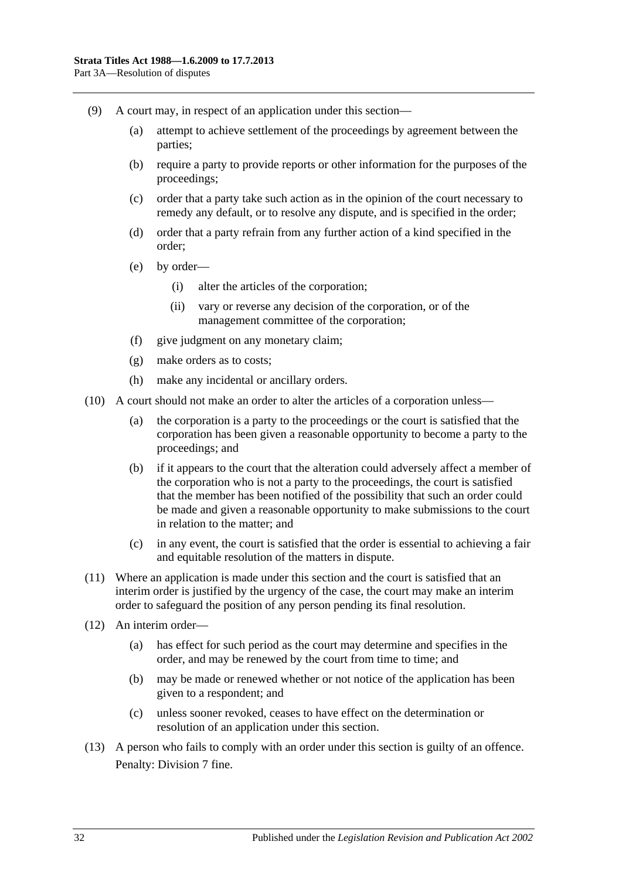- (9) A court may, in respect of an application under this section—
	- (a) attempt to achieve settlement of the proceedings by agreement between the parties;
	- (b) require a party to provide reports or other information for the purposes of the proceedings;
	- (c) order that a party take such action as in the opinion of the court necessary to remedy any default, or to resolve any dispute, and is specified in the order;
	- (d) order that a party refrain from any further action of a kind specified in the order;
	- (e) by order—
		- (i) alter the articles of the corporation;
		- (ii) vary or reverse any decision of the corporation, or of the management committee of the corporation;
	- (f) give judgment on any monetary claim;
	- (g) make orders as to costs;
	- (h) make any incidental or ancillary orders.
- (10) A court should not make an order to alter the articles of a corporation unless—
	- (a) the corporation is a party to the proceedings or the court is satisfied that the corporation has been given a reasonable opportunity to become a party to the proceedings; and
	- (b) if it appears to the court that the alteration could adversely affect a member of the corporation who is not a party to the proceedings, the court is satisfied that the member has been notified of the possibility that such an order could be made and given a reasonable opportunity to make submissions to the court in relation to the matter; and
	- (c) in any event, the court is satisfied that the order is essential to achieving a fair and equitable resolution of the matters in dispute.
- (11) Where an application is made under this section and the court is satisfied that an interim order is justified by the urgency of the case, the court may make an interim order to safeguard the position of any person pending its final resolution.
- (12) An interim order—
	- (a) has effect for such period as the court may determine and specifies in the order, and may be renewed by the court from time to time; and
	- (b) may be made or renewed whether or not notice of the application has been given to a respondent; and
	- (c) unless sooner revoked, ceases to have effect on the determination or resolution of an application under this section.
- (13) A person who fails to comply with an order under this section is guilty of an offence. Penalty: Division 7 fine.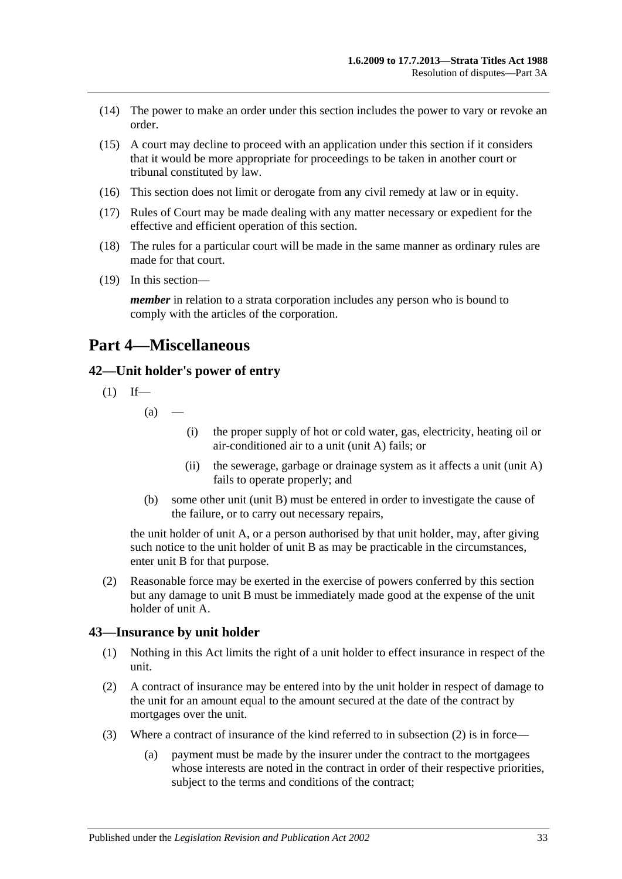- (14) The power to make an order under this section includes the power to vary or revoke an order.
- (15) A court may decline to proceed with an application under this section if it considers that it would be more appropriate for proceedings to be taken in another court or tribunal constituted by law.
- (16) This section does not limit or derogate from any civil remedy at law or in equity.
- (17) Rules of Court may be made dealing with any matter necessary or expedient for the effective and efficient operation of this section.
- (18) The rules for a particular court will be made in the same manner as ordinary rules are made for that court.
- (19) In this section—

*member* in relation to a strata corporation includes any person who is bound to comply with the articles of the corporation.

# <span id="page-32-0"></span>**Part 4—Miscellaneous**

# <span id="page-32-1"></span>**42—Unit holder's power of entry**

$$
(1) If—
$$

 $(a)$ 

- (i) the proper supply of hot or cold water, gas, electricity, heating oil or air-conditioned air to a unit (unit A) fails; or
- (ii) the sewerage, garbage or drainage system as it affects a unit (unit A) fails to operate properly; and
- (b) some other unit (unit B) must be entered in order to investigate the cause of the failure, or to carry out necessary repairs,

the unit holder of unit A, or a person authorised by that unit holder, may, after giving such notice to the unit holder of unit B as may be practicable in the circumstances, enter unit B for that purpose.

(2) Reasonable force may be exerted in the exercise of powers conferred by this section but any damage to unit B must be immediately made good at the expense of the unit holder of unit A.

#### <span id="page-32-2"></span>**43—Insurance by unit holder**

- (1) Nothing in this Act limits the right of a unit holder to effect insurance in respect of the unit.
- <span id="page-32-3"></span>(2) A contract of insurance may be entered into by the unit holder in respect of damage to the unit for an amount equal to the amount secured at the date of the contract by mortgages over the unit.
- (3) Where a contract of insurance of the kind referred to in [subsection](#page-32-3) (2) is in force—
	- (a) payment must be made by the insurer under the contract to the mortgagees whose interests are noted in the contract in order of their respective priorities, subject to the terms and conditions of the contract;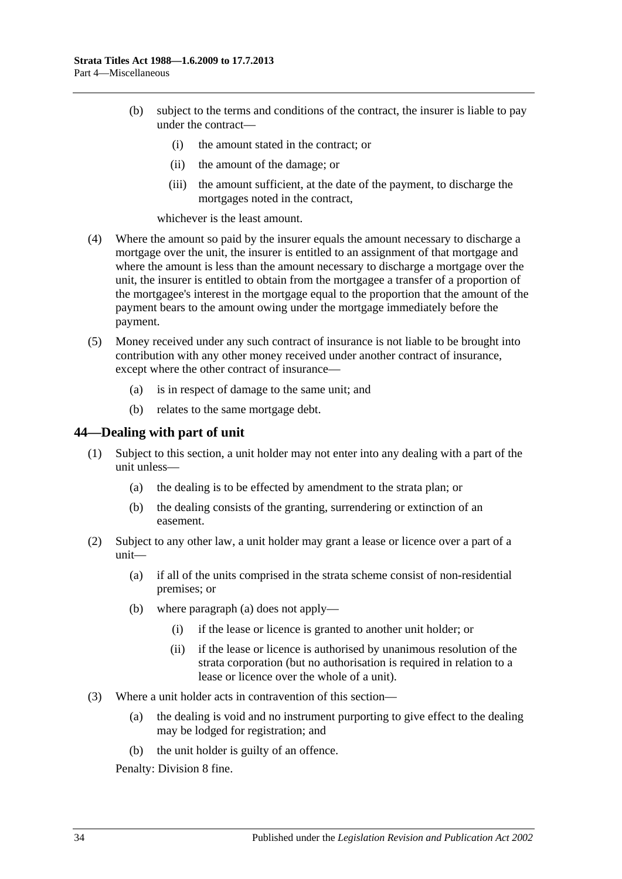- (b) subject to the terms and conditions of the contract, the insurer is liable to pay under the contract—
	- (i) the amount stated in the contract; or
	- (ii) the amount of the damage; or
	- (iii) the amount sufficient, at the date of the payment, to discharge the mortgages noted in the contract,

whichever is the least amount.

- (4) Where the amount so paid by the insurer equals the amount necessary to discharge a mortgage over the unit, the insurer is entitled to an assignment of that mortgage and where the amount is less than the amount necessary to discharge a mortgage over the unit, the insurer is entitled to obtain from the mortgagee a transfer of a proportion of the mortgagee's interest in the mortgage equal to the proportion that the amount of the payment bears to the amount owing under the mortgage immediately before the payment.
- (5) Money received under any such contract of insurance is not liable to be brought into contribution with any other money received under another contract of insurance, except where the other contract of insurance—
	- (a) is in respect of damage to the same unit; and
	- (b) relates to the same mortgage debt.

#### <span id="page-33-0"></span>**44—Dealing with part of unit**

- (1) Subject to this section, a unit holder may not enter into any dealing with a part of the unit unless—
	- (a) the dealing is to be effected by amendment to the strata plan; or
	- (b) the dealing consists of the granting, surrendering or extinction of an easement.
- <span id="page-33-1"></span>(2) Subject to any other law, a unit holder may grant a lease or licence over a part of a unit—
	- (a) if all of the units comprised in the strata scheme consist of non-residential premises; or
	- (b) where [paragraph](#page-33-1) (a) does not apply—
		- (i) if the lease or licence is granted to another unit holder; or
		- (ii) if the lease or licence is authorised by unanimous resolution of the strata corporation (but no authorisation is required in relation to a lease or licence over the whole of a unit).
- (3) Where a unit holder acts in contravention of this section—
	- (a) the dealing is void and no instrument purporting to give effect to the dealing may be lodged for registration; and
	- (b) the unit holder is guilty of an offence.

Penalty: Division 8 fine.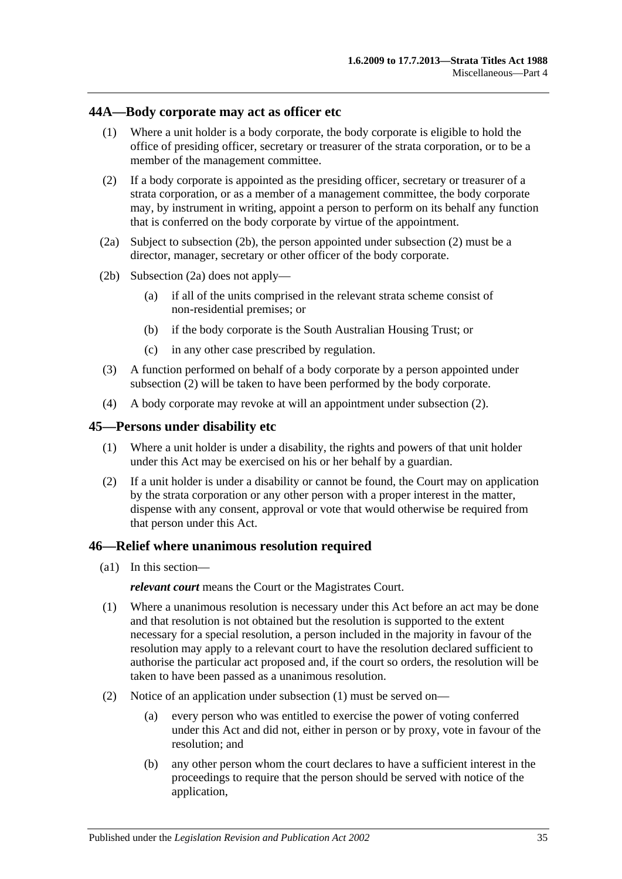#### <span id="page-34-0"></span>**44A—Body corporate may act as officer etc**

- (1) Where a unit holder is a body corporate, the body corporate is eligible to hold the office of presiding officer, secretary or treasurer of the strata corporation, or to be a member of the management committee.
- <span id="page-34-4"></span>(2) If a body corporate is appointed as the presiding officer, secretary or treasurer of a strata corporation, or as a member of a management committee, the body corporate may, by instrument in writing, appoint a person to perform on its behalf any function that is conferred on the body corporate by virtue of the appointment.
- <span id="page-34-5"></span>(2a) Subject to [subsection](#page-34-3) (2b), the person appointed under [subsection](#page-34-4) (2) must be a director, manager, secretary or other officer of the body corporate.
- <span id="page-34-3"></span>(2b) [Subsection](#page-34-5) (2a) does not apply—
	- (a) if all of the units comprised in the relevant strata scheme consist of non-residential premises; or
	- (b) if the body corporate is the South Australian Housing Trust; or
	- (c) in any other case prescribed by regulation.
- (3) A function performed on behalf of a body corporate by a person appointed under [subsection](#page-34-4) (2) will be taken to have been performed by the body corporate.
- (4) A body corporate may revoke at will an appointment under [subsection](#page-34-4) (2).

#### <span id="page-34-1"></span>**45—Persons under disability etc**

- (1) Where a unit holder is under a disability, the rights and powers of that unit holder under this Act may be exercised on his or her behalf by a guardian.
- (2) If a unit holder is under a disability or cannot be found, the Court may on application by the strata corporation or any other person with a proper interest in the matter, dispense with any consent, approval or vote that would otherwise be required from that person under this Act.

#### <span id="page-34-2"></span>**46—Relief where unanimous resolution required**

(a1) In this section—

*relevant court* means the Court or the Magistrates Court.

- <span id="page-34-6"></span>(1) Where a unanimous resolution is necessary under this Act before an act may be done and that resolution is not obtained but the resolution is supported to the extent necessary for a special resolution, a person included in the majority in favour of the resolution may apply to a relevant court to have the resolution declared sufficient to authorise the particular act proposed and, if the court so orders, the resolution will be taken to have been passed as a unanimous resolution.
- (2) Notice of an application under [subsection](#page-34-6) (1) must be served on—
	- (a) every person who was entitled to exercise the power of voting conferred under this Act and did not, either in person or by proxy, vote in favour of the resolution; and
	- (b) any other person whom the court declares to have a sufficient interest in the proceedings to require that the person should be served with notice of the application,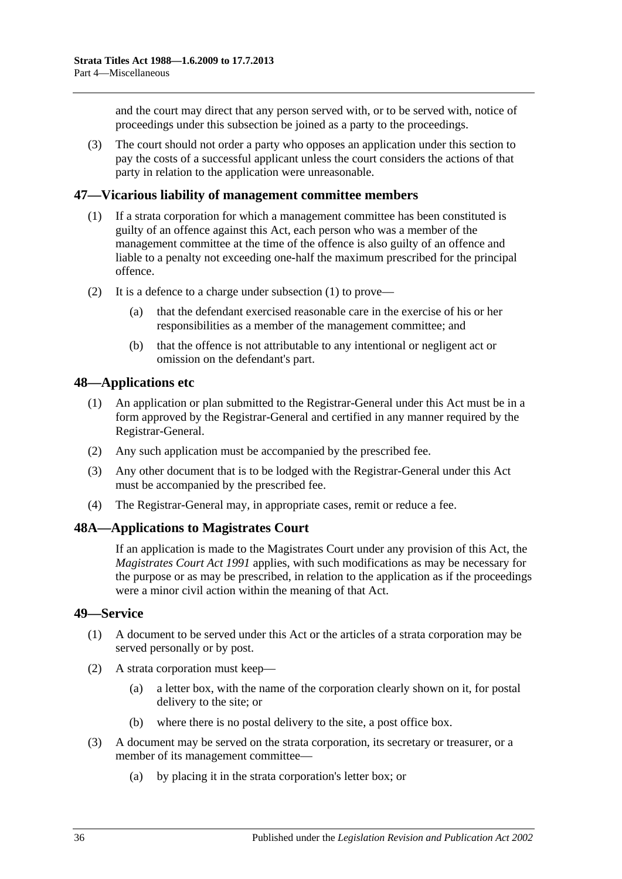and the court may direct that any person served with, or to be served with, notice of proceedings under this subsection be joined as a party to the proceedings.

(3) The court should not order a party who opposes an application under this section to pay the costs of a successful applicant unless the court considers the actions of that party in relation to the application were unreasonable.

# <span id="page-35-4"></span><span id="page-35-0"></span>**47—Vicarious liability of management committee members**

- (1) If a strata corporation for which a management committee has been constituted is guilty of an offence against this Act, each person who was a member of the management committee at the time of the offence is also guilty of an offence and liable to a penalty not exceeding one-half the maximum prescribed for the principal offence.
- (2) It is a defence to a charge under [subsection](#page-35-4) (1) to prove—
	- (a) that the defendant exercised reasonable care in the exercise of his or her responsibilities as a member of the management committee; and
	- (b) that the offence is not attributable to any intentional or negligent act or omission on the defendant's part.

### <span id="page-35-1"></span>**48—Applications etc**

- (1) An application or plan submitted to the Registrar-General under this Act must be in a form approved by the Registrar-General and certified in any manner required by the Registrar-General.
- (2) Any such application must be accompanied by the prescribed fee.
- (3) Any other document that is to be lodged with the Registrar-General under this Act must be accompanied by the prescribed fee.
- (4) The Registrar-General may, in appropriate cases, remit or reduce a fee.

#### <span id="page-35-2"></span>**48A—Applications to Magistrates Court**

If an application is made to the Magistrates Court under any provision of this Act, the *[Magistrates Court Act](http://www.legislation.sa.gov.au/index.aspx?action=legref&type=act&legtitle=Magistrates%20Court%20Act%201991) 1991* applies, with such modifications as may be necessary for the purpose or as may be prescribed, in relation to the application as if the proceedings were a minor civil action within the meaning of that Act.

#### <span id="page-35-3"></span>**49—Service**

- (1) A document to be served under this Act or the articles of a strata corporation may be served personally or by post.
- (2) A strata corporation must keep—
	- (a) a letter box, with the name of the corporation clearly shown on it, for postal delivery to the site; or
	- (b) where there is no postal delivery to the site, a post office box.
- (3) A document may be served on the strata corporation, its secretary or treasurer, or a member of its management committee—
	- (a) by placing it in the strata corporation's letter box; or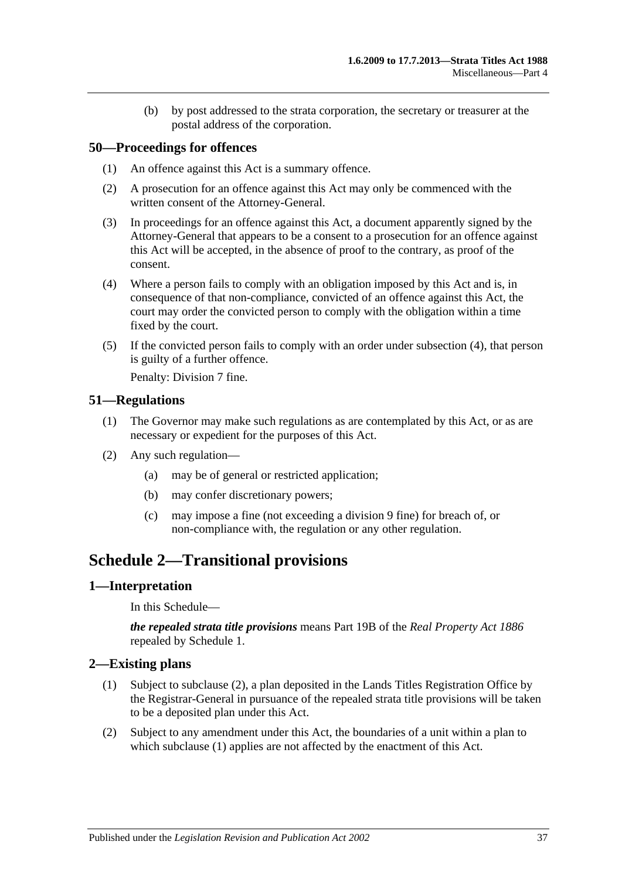(b) by post addressed to the strata corporation, the secretary or treasurer at the postal address of the corporation.

# <span id="page-36-0"></span>**50—Proceedings for offences**

- (1) An offence against this Act is a summary offence.
- (2) A prosecution for an offence against this Act may only be commenced with the written consent of the Attorney-General.
- (3) In proceedings for an offence against this Act, a document apparently signed by the Attorney-General that appears to be a consent to a prosecution for an offence against this Act will be accepted, in the absence of proof to the contrary, as proof of the consent.
- <span id="page-36-5"></span>(4) Where a person fails to comply with an obligation imposed by this Act and is, in consequence of that non-compliance, convicted of an offence against this Act, the court may order the convicted person to comply with the obligation within a time fixed by the court.
- (5) If the convicted person fails to comply with an order under [subsection](#page-36-5) (4), that person is guilty of a further offence.

Penalty: Division 7 fine.

# <span id="page-36-1"></span>**51—Regulations**

- (1) The Governor may make such regulations as are contemplated by this Act, or as are necessary or expedient for the purposes of this Act.
- (2) Any such regulation—
	- (a) may be of general or restricted application;
	- (b) may confer discretionary powers;
	- (c) may impose a fine (not exceeding a division 9 fine) for breach of, or non-compliance with, the regulation or any other regulation.

# <span id="page-36-2"></span>**Schedule 2—Transitional provisions**

# <span id="page-36-3"></span>**1—Interpretation**

In this Schedule—

*the repealed strata title provisions* means Part 19B of the *[Real Property Act](http://www.legislation.sa.gov.au/index.aspx?action=legref&type=act&legtitle=Real%20Property%20Act%201886) 1886* repealed by Schedule 1.

# <span id="page-36-7"></span><span id="page-36-4"></span>**2—Existing plans**

- (1) Subject to [subclause](#page-36-6) (2), a plan deposited in the Lands Titles Registration Office by the Registrar-General in pursuance of the repealed strata title provisions will be taken to be a deposited plan under this Act.
- <span id="page-36-6"></span>(2) Subject to any amendment under this Act, the boundaries of a unit within a plan to which [subclause](#page-36-7) (1) applies are not affected by the enactment of this Act.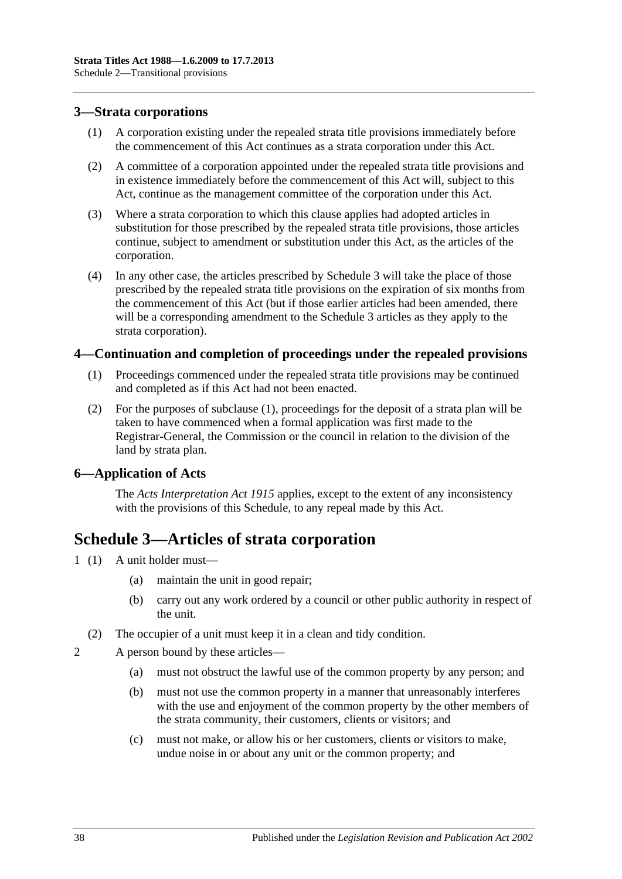# <span id="page-37-0"></span>**3—Strata corporations**

- (1) A corporation existing under the repealed strata title provisions immediately before the commencement of this Act continues as a strata corporation under this Act.
- (2) A committee of a corporation appointed under the repealed strata title provisions and in existence immediately before the commencement of this Act will, subject to this Act, continue as the management committee of the corporation under this Act.
- (3) Where a strata corporation to which this clause applies had adopted articles in substitution for those prescribed by the repealed strata title provisions, those articles continue, subject to amendment or substitution under this Act, as the articles of the corporation.
- (4) In any other case, the articles prescribed by [Schedule 3](#page-37-3) will take the place of those prescribed by the repealed strata title provisions on the expiration of six months from the commencement of this Act (but if those earlier articles had been amended, there will be a corresponding amendment to the [Schedule 3](#page-37-3) articles as they apply to the strata corporation).

# <span id="page-37-4"></span><span id="page-37-1"></span>**4—Continuation and completion of proceedings under the repealed provisions**

- (1) Proceedings commenced under the repealed strata title provisions may be continued and completed as if this Act had not been enacted.
- (2) For the purposes of [subclause](#page-37-4) (1), proceedings for the deposit of a strata plan will be taken to have commenced when a formal application was first made to the Registrar-General, the Commission or the council in relation to the division of the land by strata plan.

# <span id="page-37-2"></span>**6—Application of Acts**

The *[Acts Interpretation Act](http://www.legislation.sa.gov.au/index.aspx?action=legref&type=act&legtitle=Acts%20Interpretation%20Act%201915) 1915* applies, except to the extent of any inconsistency with the provisions of this Schedule, to any repeal made by this Act.

# <span id="page-37-3"></span>**Schedule 3—Articles of strata corporation**

- 1 (1) A unit holder must—
	- (a) maintain the unit in good repair;
	- (b) carry out any work ordered by a council or other public authority in respect of the unit.
	- (2) The occupier of a unit must keep it in a clean and tidy condition.
- 2 A person bound by these articles—
	- (a) must not obstruct the lawful use of the common property by any person; and
	- (b) must not use the common property in a manner that unreasonably interferes with the use and enjoyment of the common property by the other members of the strata community, their customers, clients or visitors; and
	- (c) must not make, or allow his or her customers, clients or visitors to make, undue noise in or about any unit or the common property; and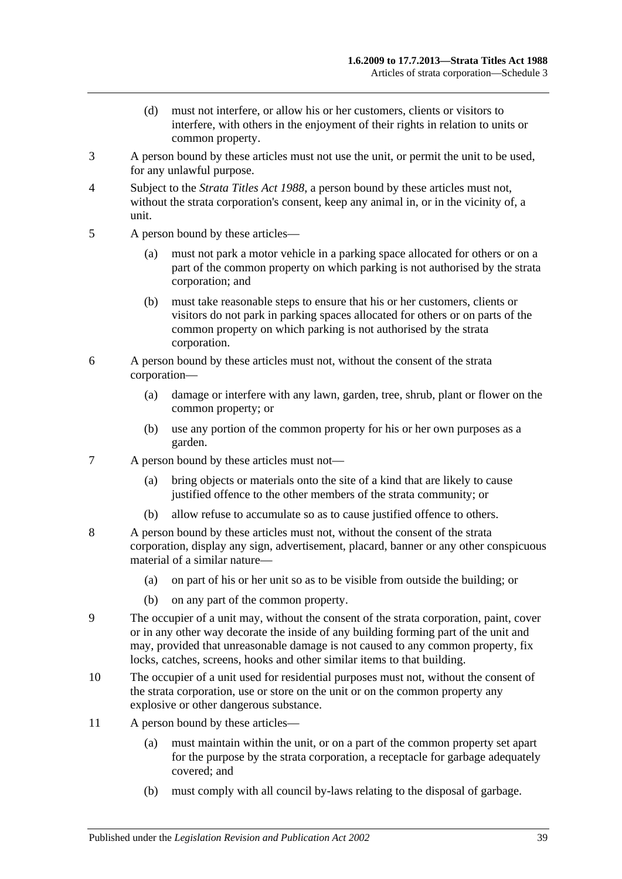- (d) must not interfere, or allow his or her customers, clients or visitors to interfere, with others in the enjoyment of their rights in relation to units or common property.
- 3 A person bound by these articles must not use the unit, or permit the unit to be used, for any unlawful purpose.
- 4 Subject to the *[Strata Titles Act](http://www.legislation.sa.gov.au/index.aspx?action=legref&type=act&legtitle=Strata%20Titles%20Act%201988) 1988*, a person bound by these articles must not, without the strata corporation's consent, keep any animal in, or in the vicinity of, a unit.
- 5 A person bound by these articles—
	- (a) must not park a motor vehicle in a parking space allocated for others or on a part of the common property on which parking is not authorised by the strata corporation; and
	- (b) must take reasonable steps to ensure that his or her customers, clients or visitors do not park in parking spaces allocated for others or on parts of the common property on which parking is not authorised by the strata corporation.
- 6 A person bound by these articles must not, without the consent of the strata corporation—
	- (a) damage or interfere with any lawn, garden, tree, shrub, plant or flower on the common property; or
	- (b) use any portion of the common property for his or her own purposes as a garden.
- 7 A person bound by these articles must not—
	- (a) bring objects or materials onto the site of a kind that are likely to cause justified offence to the other members of the strata community; or
	- (b) allow refuse to accumulate so as to cause justified offence to others.
- 8 A person bound by these articles must not, without the consent of the strata corporation, display any sign, advertisement, placard, banner or any other conspicuous material of a similar nature—
	- (a) on part of his or her unit so as to be visible from outside the building; or
	- (b) on any part of the common property.
- 9 The occupier of a unit may, without the consent of the strata corporation, paint, cover or in any other way decorate the inside of any building forming part of the unit and may, provided that unreasonable damage is not caused to any common property, fix locks, catches, screens, hooks and other similar items to that building.
- 10 The occupier of a unit used for residential purposes must not, without the consent of the strata corporation, use or store on the unit or on the common property any explosive or other dangerous substance.
- 11 A person bound by these articles—
	- (a) must maintain within the unit, or on a part of the common property set apart for the purpose by the strata corporation, a receptacle for garbage adequately covered; and
	- (b) must comply with all council by-laws relating to the disposal of garbage.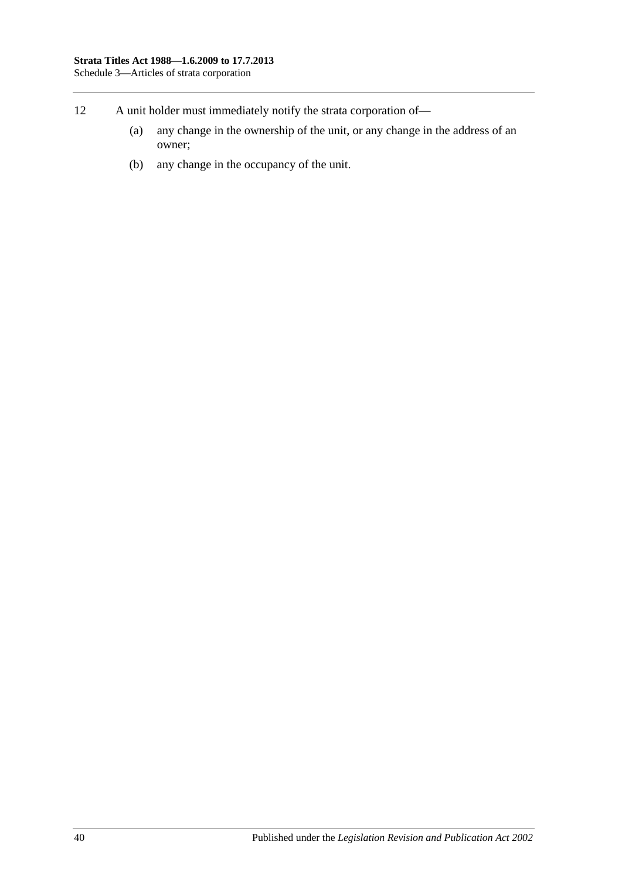- 12 A unit holder must immediately notify the strata corporation of—
	- (a) any change in the ownership of the unit, or any change in the address of an owner;
	- (b) any change in the occupancy of the unit.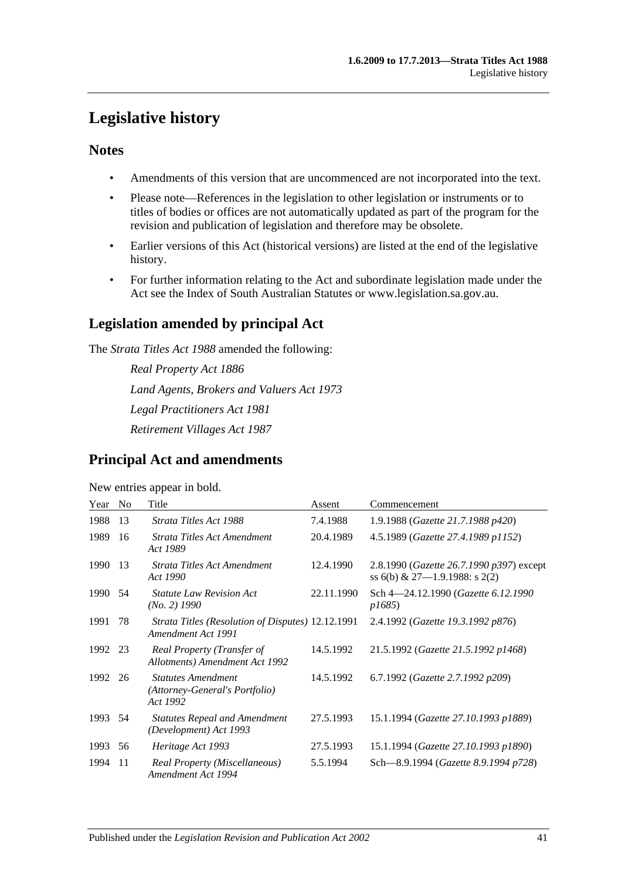# <span id="page-40-0"></span>**Legislative history**

# **Notes**

- Amendments of this version that are uncommenced are not incorporated into the text.
- Please note—References in the legislation to other legislation or instruments or to titles of bodies or offices are not automatically updated as part of the program for the revision and publication of legislation and therefore may be obsolete.
- Earlier versions of this Act (historical versions) are listed at the end of the legislative history.
- For further information relating to the Act and subordinate legislation made under the Act see the Index of South Australian Statutes or www.legislation.sa.gov.au.

# **Legislation amended by principal Act**

The *Strata Titles Act 1988* amended the following:

*Real Property Act 1886 Land Agents, Brokers and Valuers Act 1973 Legal Practitioners Act 1981 Retirement Villages Act 1987*

# **Principal Act and amendments**

#### New entries appear in bold.

| Year    | N <sub>0</sub> | Title                                                                   | Assent     | Commencement                                                                       |
|---------|----------------|-------------------------------------------------------------------------|------------|------------------------------------------------------------------------------------|
| 1988    | 13             | Strata Titles Act 1988                                                  | 7.4.1988   | 1.9.1988 (Gazette 21.7.1988 p420)                                                  |
| 1989    | 16             | Strata Titles Act Amendment<br>Act 1989                                 | 20.4.1989  | 4.5.1989 (Gazette 27.4.1989 p1152)                                                 |
| 1990    | 13             | Strata Titles Act Amendment<br>Act 1990                                 | 12.4.1990  | 2.8.1990 ( <i>Gazette 26.7.1990 p397</i> ) except<br>ss 6(b) & 27-1.9.1988: s 2(2) |
| 1990    | 54             | <b>Statute Law Revision Act</b><br>(No. 2) 1990                         | 22.11.1990 | Sch 4-24.12.1990 (Gazette 6.12.1990<br><i>p1685</i> )                              |
| 1991    | 78             | Strata Titles (Resolution of Disputes) 12.12.1991<br>Amendment Act 1991 |            | 2.4.1992 (Gazette 19.3.1992 p876)                                                  |
| 1992 23 |                | Real Property (Transfer of<br>Allotments) Amendment Act 1992            | 14.5.1992  | 21.5.1992 (Gazette 21.5.1992 p1468)                                                |
| 1992    | 26             | <b>Statutes Amendment</b><br>(Attorney-General's Portfolio)<br>Act 1992 | 14.5.1992  | 6.7.1992 (Gazette 2.7.1992 p209)                                                   |
| 1993    | 54             | <b>Statutes Repeal and Amendment</b><br>(Development) Act 1993          | 27.5.1993  | 15.1.1994 (Gazette 27.10.1993 p1889)                                               |
| 1993    | 56             | Heritage Act 1993                                                       | 27.5.1993  | 15.1.1994 (Gazette 27.10.1993 p1890)                                               |
| 1994    | 11             | Real Property (Miscellaneous)<br>Amendment Act 1994                     | 5.5.1994   | Sch-8.9.1994 (Gazette 8.9.1994 p728)                                               |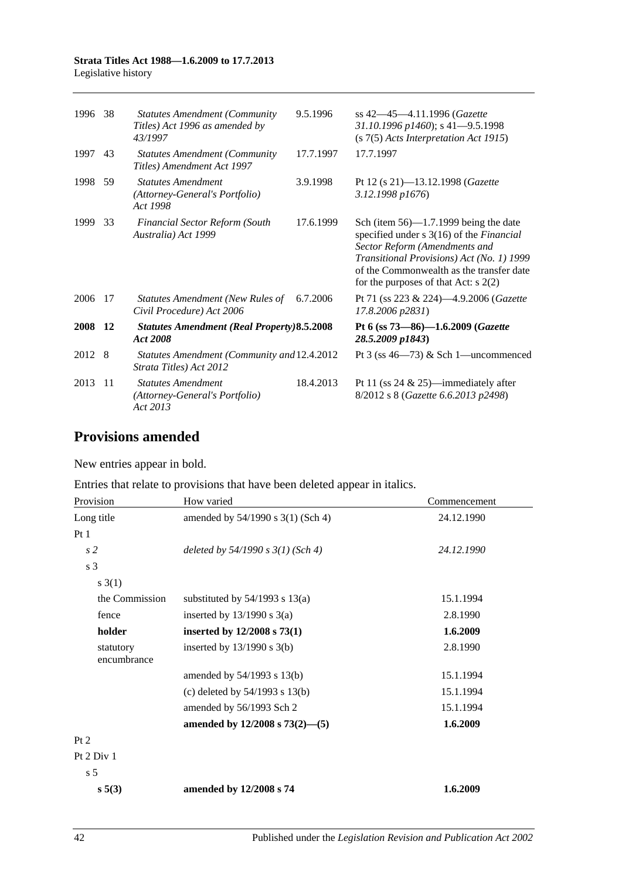#### **Strata Titles Act 1988—1.6.2009 to 17.7.2013** Legislative history

| 1996    | -38 | <b>Statutes Amendment (Community</b><br>Titles) Act 1996 as amended by<br>43/1997 | 9.5.1996  | ss 42-45-4.11.1996 (Gazette<br>31.10.1996 p1460); s 41-9.5.1998<br>$(s 7(5)$ Acts Interpretation Act 1915)                                                                                                                                                      |
|---------|-----|-----------------------------------------------------------------------------------|-----------|-----------------------------------------------------------------------------------------------------------------------------------------------------------------------------------------------------------------------------------------------------------------|
| 1997    | 43  | <b>Statutes Amendment (Community</b><br>Titles) Amendment Act 1997                | 17.7.1997 | 17.7.1997                                                                                                                                                                                                                                                       |
| 1998    | 59  | <b>Statutes Amendment</b><br>(Attorney-General's Portfolio)<br>Act 1998           | 3.9.1998  | Pt 12 (s 21)-13.12.1998 ( <i>Gazette</i><br>3.12.1998 p1676)                                                                                                                                                                                                    |
| 1999    | -33 | <b>Financial Sector Reform (South</b><br>Australia) Act 1999                      | 17.6.1999 | Sch (item $56$ )—1.7.1999 being the date<br>specified under s 3(16) of the <i>Financial</i><br>Sector Reform (Amendments and<br>Transitional Provisions) Act (No. 1) 1999<br>of the Commonwealth as the transfer date<br>for the purposes of that Act: $s$ 2(2) |
| 2006    | -17 | Statutes Amendment (New Rules of<br>Civil Procedure) Act 2006                     | 6.7.2006  | Pt 71 (ss 223 & 224)-4.9.2006 (Gazette<br>17.8.2006 p2831)                                                                                                                                                                                                      |
| 2008 12 |     | <b>Statutes Amendment (Real Property)8.5.2008</b><br>Act 2008                     |           | Pt 6 (ss 73-86)-1.6.2009 (Gazette<br>28.5.2009 p1843)                                                                                                                                                                                                           |
| 2012 8  |     | Statutes Amendment (Community and 12.4.2012<br>Strata Titles) Act 2012            |           | Pt $3$ (ss $46-73$ ) & Sch 1-uncommenced                                                                                                                                                                                                                        |
| 2013    | 11  | <b>Statutes Amendment</b><br>(Attorney-General's Portfolio)<br>Act 2013           | 18.4.2013 | Pt 11 (ss $24 \& 25$ )—immediately after<br>8/2012 s 8 (Gazette 6.6.2013 p2498)                                                                                                                                                                                 |

# **Provisions amended**

New entries appear in bold.

Entries that relate to provisions that have been deleted appear in italics.

| Provision                | How varied                          | Commencement |
|--------------------------|-------------------------------------|--------------|
| Long title               | amended by 54/1990 s 3(1) (Sch 4)   | 24.12.1990   |
| Pt1                      |                                     |              |
| s <sub>2</sub>           | deleted by $54/1990 s 3(1)$ (Sch 4) | 24.12.1990   |
| s 3                      |                                     |              |
| $s \; 3(1)$              |                                     |              |
| the Commission           | substituted by $54/1993$ s $13(a)$  | 15.1.1994    |
| fence                    | inserted by $13/1990$ s $3(a)$      | 2.8.1990     |
| holder                   | inserted by 12/2008 s 73(1)         | 1.6.2009     |
| statutory<br>encumbrance | inserted by $13/1990$ s $3(b)$      | 2.8.1990     |
|                          | amended by 54/1993 s 13(b)          | 15.1.1994    |
|                          | (c) deleted by $54/1993$ s $13(b)$  | 15.1.1994    |
|                          | amended by 56/1993 Sch 2            | 15.1.1994    |
|                          | amended by $12/2008$ s $73(2)$ —(5) | 1.6.2009     |
| Pt 2                     |                                     |              |
| Pt 2 Div 1               |                                     |              |
| s <sub>5</sub>           |                                     |              |
| s 5(3)                   | amended by 12/2008 s 74             | 1.6.2009     |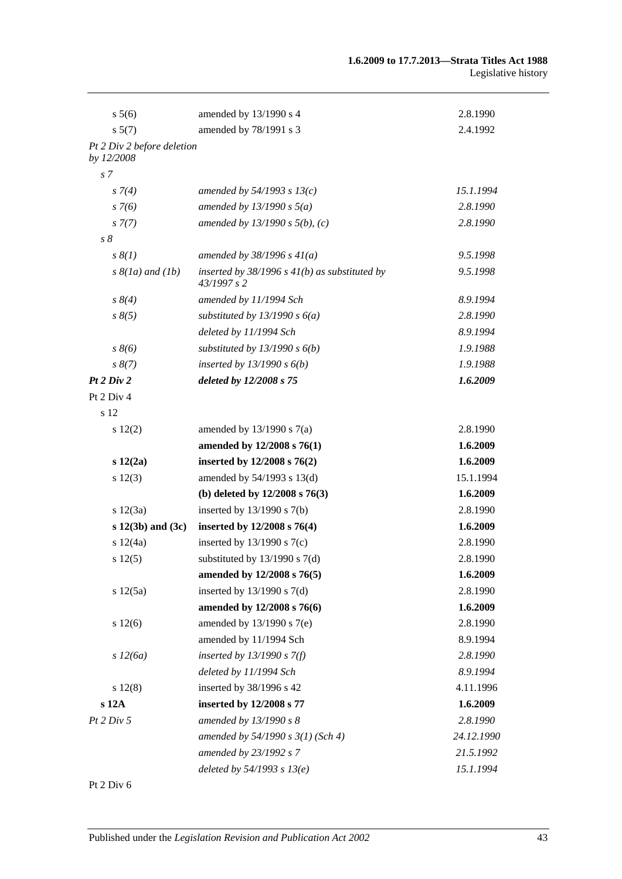| $s\,5(6)$                                | amended by 13/1990 s 4                                         | 2.8.1990   |
|------------------------------------------|----------------------------------------------------------------|------------|
| s 5(7)                                   | amended by 78/1991 s 3                                         | 2.4.1992   |
| Pt 2 Div 2 before deletion<br>by 12/2008 |                                                                |            |
| s <sub>7</sub>                           |                                                                |            |
| $s \, 7(4)$                              | amended by $54/1993 s 13(c)$                                   | 15.1.1994  |
| $s \, 7(6)$                              | amended by $13/1990 s 5(a)$                                    | 2.8.1990   |
| $s \, 7(7)$                              | amended by $13/1990 s 5(b)$ , (c)                              | 2.8.1990   |
| $s\delta$                                |                                                                |            |
| $s \, \delta(1)$                         | amended by $38/1996 s 41(a)$                                   | 9.5.1998   |
| $s \& (1a)$ and $(1b)$                   | inserted by $38/1996$ s $41(b)$ as substituted by<br>43/1997s2 | 9.5.1998   |
| $s \, 8(4)$                              | amended by 11/1994 Sch                                         | 8.9.1994   |
| $s \, 8(5)$                              | substituted by $13/1990 s 6(a)$                                | 2.8.1990   |
|                                          | deleted by 11/1994 Sch                                         | 8.9.1994   |
| $s \, 8(6)$                              | substituted by $13/1990 s 6(b)$                                | 1.9.1988   |
| $s \, 8(7)$                              | inserted by $13/1990 s 6(b)$                                   | 1.9.1988   |
| Pt 2 Div 2                               | deleted by 12/2008 s 75                                        | 1.6.2009   |
| Pt 2 Div 4                               |                                                                |            |
| s 12                                     |                                                                |            |
| $s\ 12(2)$                               | amended by $13/1990$ s $7(a)$                                  | 2.8.1990   |
|                                          | amended by 12/2008 s 76(1)                                     | 1.6.2009   |
| s 12(2a)                                 | inserted by 12/2008 s 76(2)                                    | 1.6.2009   |
| s 12(3)                                  | amended by 54/1993 s 13(d)                                     | 15.1.1994  |
|                                          | (b) deleted by $12/2008$ s $76(3)$                             | 1.6.2009   |
| s 12(3a)                                 | inserted by $13/1990$ s $7(b)$                                 | 2.8.1990   |
| $s$ 12(3b) and (3c)                      | inserted by 12/2008 s 76(4)                                    | 1.6.2009   |
| s 12(4a)                                 | inserted by $13/1990$ s $7(c)$                                 | 2.8.1990   |
| s 12(5)                                  | substituted by $13/1990$ s $7(d)$                              | 2.8.1990   |
|                                          | amended by 12/2008 s 76(5)                                     | 1.6.2009   |
| s 12(5a)                                 | inserted by $13/1990$ s $7(d)$                                 | 2.8.1990   |
|                                          | amended by 12/2008 s 76(6)                                     | 1.6.2009   |
| $s\ 12(6)$                               | amended by 13/1990 s 7(e)                                      | 2.8.1990   |
|                                          | amended by 11/1994 Sch                                         | 8.9.1994   |
| s 12(6a)                                 | inserted by $13/1990 s 7(f)$                                   | 2.8.1990   |
|                                          | deleted by 11/1994 Sch                                         | 8.9.1994   |
| $s\ 12(8)$                               | inserted by 38/1996 s 42                                       | 4.11.1996  |
| s 12A                                    | inserted by 12/2008 s 77                                       | 1.6.2009   |
| Pt 2 Div 5                               | amended by 13/1990 s 8                                         | 2.8.1990   |
|                                          | amended by $54/1990 s 3(1)$ (Sch 4)                            | 24.12.1990 |
|                                          | amended by 23/1992 s 7                                         | 21.5.1992  |
|                                          | deleted by $54/1993 s 13(e)$                                   | 15.1.1994  |

Pt 2 Div 6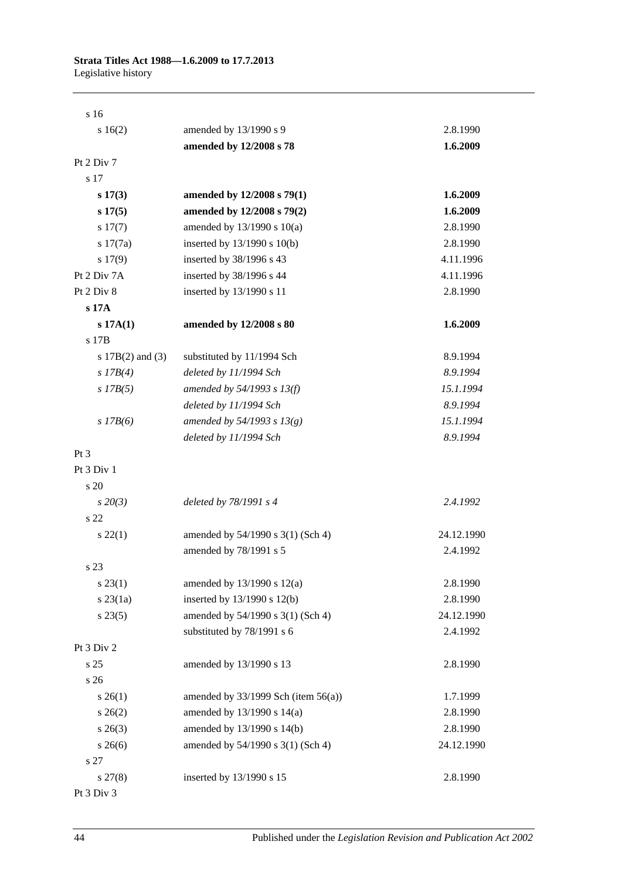| s 16                 |                                          |            |
|----------------------|------------------------------------------|------------|
| 16(2)                | amended by 13/1990 s 9                   | 2.8.1990   |
|                      | amended by 12/2008 s 78                  | 1.6.2009   |
| Pt 2 Div 7           |                                          |            |
| s 17                 |                                          |            |
| $s\ 17(3)$           | amended by 12/2008 s 79(1)               | 1.6.2009   |
| s 17(5)              | amended by 12/2008 s 79(2)               | 1.6.2009   |
| $s\ 17(7)$           | amended by $13/1990$ s $10(a)$           | 2.8.1990   |
| s 17(7a)             | inserted by 13/1990 s 10(b)              | 2.8.1990   |
| 17(9)                | inserted by 38/1996 s 43                 | 4.11.1996  |
| Pt 2 Div 7A          | inserted by 38/1996 s 44                 | 4.11.1996  |
| Pt 2 Div 8           | inserted by 13/1990 s 11                 | 2.8.1990   |
| s 17A                |                                          |            |
| s 17A(1)             | amended by 12/2008 s 80                  | 1.6.2009   |
| s 17B                |                                          |            |
| s $17B(2)$ and $(3)$ | substituted by 11/1994 Sch               | 8.9.1994   |
| s $17B(4)$           | deleted by 11/1994 Sch                   | 8.9.1994   |
| $s$ 17B(5)           | amended by $54/1993 s 13(f)$             | 15.1.1994  |
|                      | deleted by 11/1994 Sch                   | 8.9.1994   |
| $s$ 17B(6)           | amended by 54/1993 s $13(g)$             | 15.1.1994  |
|                      | deleted by 11/1994 Sch                   | 8.9.1994   |
| $Pt\,3$              |                                          |            |
| Pt 3 Div 1           |                                          |            |
| s 20                 |                                          |            |
| $s\,20(3)$           | deleted by 78/1991 s 4                   | 2.4.1992   |
| s 22                 |                                          |            |
| $s\,22(1)$           | amended by 54/1990 s 3(1) (Sch 4)        | 24.12.1990 |
|                      | amended by 78/1991 s 5                   | 2.4.1992   |
| s 23                 |                                          |            |
| $s\,23(1)$           | amended by 13/1990 s 12(a)               | 2.8.1990   |
| $s$ 23 $(1a)$        | inserted by 13/1990 s 12(b)              | 2.8.1990   |
| $s\,23(5)$           | amended by 54/1990 s 3(1) (Sch 4)        | 24.12.1990 |
|                      | substituted by 78/1991 s 6               | 2.4.1992   |
| Pt 3 Div 2           |                                          |            |
| s 25                 | amended by 13/1990 s 13                  | 2.8.1990   |
| s 26                 |                                          |            |
| $s \; 26(1)$         | amended by $33/1999$ Sch (item $56(a)$ ) | 1.7.1999   |
| $s \; 26(2)$         | amended by 13/1990 s 14(a)               | 2.8.1990   |
| $s \; 26(3)$         | amended by 13/1990 s 14(b)               | 2.8.1990   |
| $s \; 26(6)$         | amended by 54/1990 s 3(1) (Sch 4)        | 24.12.1990 |
| s 27                 |                                          |            |
| $s\,27(8)$           | inserted by 13/1990 s 15                 | 2.8.1990   |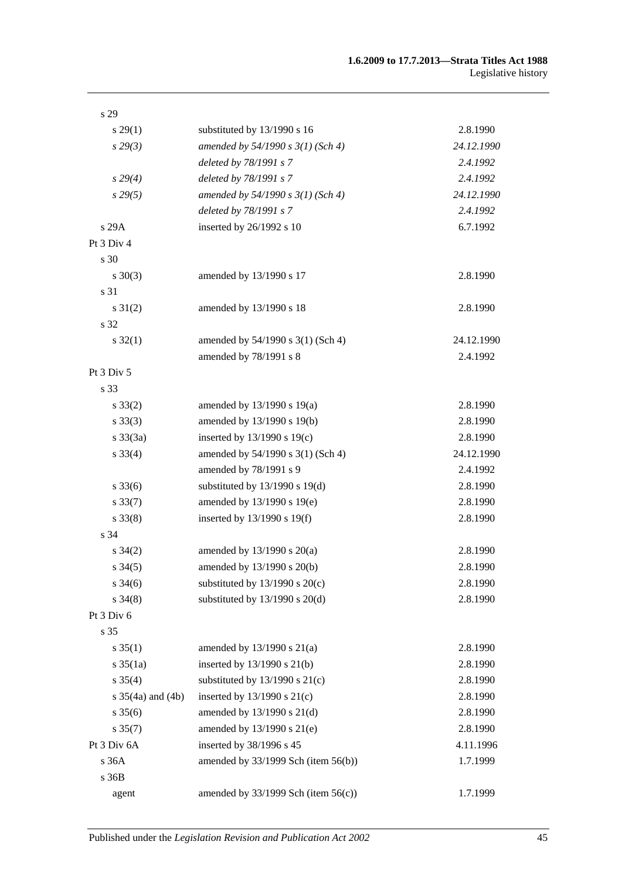| s 29                  |                                          |            |
|-----------------------|------------------------------------------|------------|
| $s\,29(1)$            | substituted by 13/1990 s 16              | 2.8.1990   |
| $s\,29(3)$            | amended by $54/1990 s 3(1)$ (Sch 4)      | 24.12.1990 |
|                       | deleted by 78/1991 s 7                   | 2.4.1992   |
| $s\,29(4)$            | deleted by 78/1991 s 7                   | 2.4.1992   |
| $s\,29(5)$            | amended by 54/1990 s 3(1) (Sch 4)        | 24.12.1990 |
|                       | deleted by 78/1991 s 7                   | 2.4.1992   |
| s 29A                 | inserted by 26/1992 s 10                 | 6.7.1992   |
| Pt 3 Div 4            |                                          |            |
| s 30                  |                                          |            |
| $s \ 30(3)$           | amended by 13/1990 s 17                  | 2.8.1990   |
| s 31                  |                                          |            |
| $s \, 31(2)$          | amended by 13/1990 s 18                  | 2.8.1990   |
| s 32                  |                                          |            |
| $s \, 32(1)$          | amended by 54/1990 s 3(1) (Sch 4)        | 24.12.1990 |
|                       | amended by 78/1991 s 8                   | 2.4.1992   |
| Pt 3 Div 5            |                                          |            |
| s 33                  |                                          |            |
| $s \, 33(2)$          | amended by 13/1990 s 19(a)               | 2.8.1990   |
| $s \, 33(3)$          | amended by 13/1990 s 19(b)               | 2.8.1990   |
| $s \, 33(3a)$         | inserted by $13/1990$ s $19(c)$          | 2.8.1990   |
| $s \, 33(4)$          | amended by 54/1990 s 3(1) (Sch 4)        | 24.12.1990 |
|                       | amended by 78/1991 s 9                   | 2.4.1992   |
| $s \, 33(6)$          | substituted by $13/1990$ s $19(d)$       | 2.8.1990   |
| $s \, 33(7)$          | amended by 13/1990 s 19(e)               | 2.8.1990   |
| $s \, 33(8)$          | inserted by $13/1990$ s $19(f)$          | 2.8.1990   |
| s 34                  |                                          |            |
| $s \; 34(2)$          | amended by $13/1990$ s $20(a)$           | 2.8.1990   |
| $s \, 34(5)$          | amended by 13/1990 s 20(b)               | 2.8.1990   |
| $s \frac{34(6)}{2}$   | substituted by $13/1990$ s $20(c)$       | 2.8.1990   |
| $s \, 34(8)$          | substituted by $13/1990$ s $20(d)$       | 2.8.1990   |
| Pt 3 Div 6            |                                          |            |
| s 35                  |                                          |            |
| $s \, 35(1)$          | amended by $13/1990$ s $21(a)$           | 2.8.1990   |
| $s \frac{35}{1a}$     | inserted by 13/1990 s 21(b)              | 2.8.1990   |
| $s \, 35(4)$          | substituted by $13/1990$ s $21(c)$       | 2.8.1990   |
| s $35(4a)$ and $(4b)$ | inserted by 13/1990 s 21(c)              | 2.8.1990   |
| $s \, 35(6)$          | amended by 13/1990 s 21(d)               | 2.8.1990   |
| $s \, 35(7)$          | amended by 13/1990 s 21(e)               | 2.8.1990   |
| Pt 3 Div 6A           | inserted by 38/1996 s 45                 | 4.11.1996  |
| s 36A                 | amended by $33/1999$ Sch (item $56(b)$ ) | 1.7.1999   |
| s 36B                 |                                          |            |
| agent                 | amended by $33/1999$ Sch (item $56(c)$ ) | 1.7.1999   |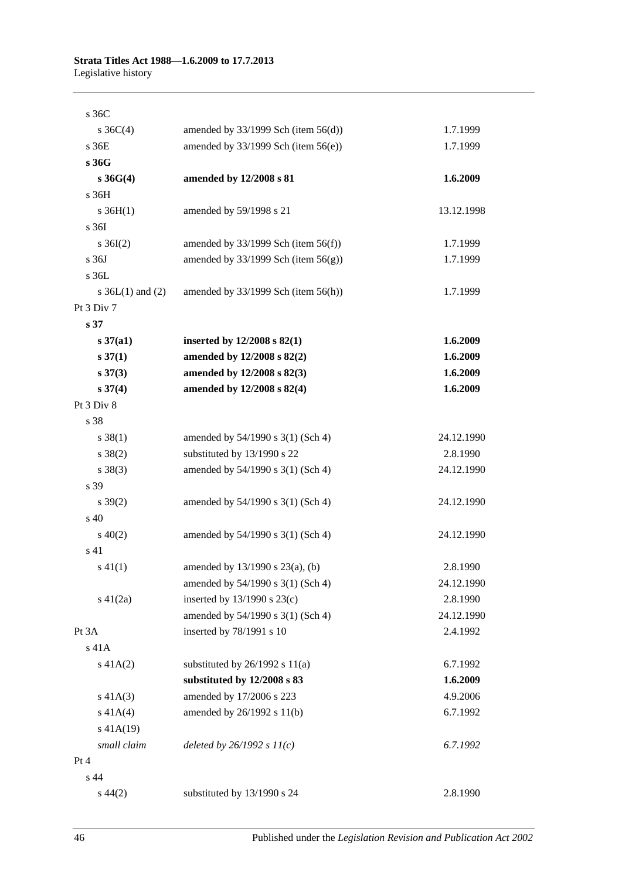| s 36C                |                                          |            |
|----------------------|------------------------------------------|------------|
| s $36C(4)$           | amended by $33/1999$ Sch (item $56(d)$ ) | 1.7.1999   |
| s 36E                | amended by $33/1999$ Sch (item $56(e)$ ) | 1.7.1999   |
| s 36G                |                                          |            |
| $s \, 36G(4)$        | amended by 12/2008 s 81                  | 1.6.2009   |
| s 36H                |                                          |            |
| $s \; 36H(1)$        | amended by 59/1998 s 21                  | 13.12.1998 |
| s 36I                |                                          |            |
| $s \; 36I(2)$        | amended by $33/1999$ Sch (item $56(f)$ ) | 1.7.1999   |
| s 36J                | amended by $33/1999$ Sch (item $56(g)$ ) | 1.7.1999   |
| s 36L                |                                          |            |
| s $36L(1)$ and $(2)$ | amended by $33/1999$ Sch (item $56(h)$ ) | 1.7.1999   |
| Pt 3 Div 7           |                                          |            |
| s <sub>37</sub>      |                                          |            |
| $s \, 37(a1)$        | inserted by $12/2008$ s $82(1)$          | 1.6.2009   |
| $s \, 37(1)$         | amended by 12/2008 s 82(2)               | 1.6.2009   |
| $s \, 37(3)$         | amended by 12/2008 s 82(3)               | 1.6.2009   |
| $s \, 37(4)$         | amended by 12/2008 s 82(4)               | 1.6.2009   |
| Pt 3 Div 8           |                                          |            |
| s 38                 |                                          |            |
| $s \, 38(1)$         | amended by 54/1990 s 3(1) (Sch 4)        | 24.12.1990 |
| $s \ 38(2)$          | substituted by 13/1990 s 22              | 2.8.1990   |
| $s \ 38(3)$          | amended by 54/1990 s 3(1) (Sch 4)        | 24.12.1990 |
| s 39                 |                                          |            |
| $s \, 39(2)$         | amended by 54/1990 s 3(1) (Sch 4)        | 24.12.1990 |
| s 40                 |                                          |            |
| $s\ 40(2)$           | amended by 54/1990 s 3(1) (Sch 4)        | 24.12.1990 |
| s 41                 |                                          |            |
| $s\ 41(1)$           | amended by 13/1990 s 23(a), (b)          | 2.8.1990   |
|                      | amended by 54/1990 s 3(1) (Sch 4)        | 24.12.1990 |
| $s\ 41(2a)$          | inserted by $13/1990$ s $23(c)$          | 2.8.1990   |
|                      | amended by 54/1990 s 3(1) (Sch 4)        | 24.12.1990 |
| Pt 3A                | inserted by 78/1991 s 10                 | 2.4.1992   |
| $s$ 41 $A$           |                                          |            |
| $s\ 41A(2)$          | substituted by $26/1992$ s $11(a)$       | 6.7.1992   |
|                      | substituted by 12/2008 s 83              | 1.6.2009   |
| $s\ 41A(3)$          | amended by 17/2006 s 223                 | 4.9.2006   |
| $s\ 41A(4)$          | amended by 26/1992 s 11(b)               | 6.7.1992   |
| $s$ 41A(19)          |                                          |            |
| small claim          | deleted by $26/1992 s 11(c)$             | 6.7.1992   |
| Pt 4                 |                                          |            |
| s 44                 |                                          |            |
| $s\,44(2)$           | substituted by 13/1990 s 24              | 2.8.1990   |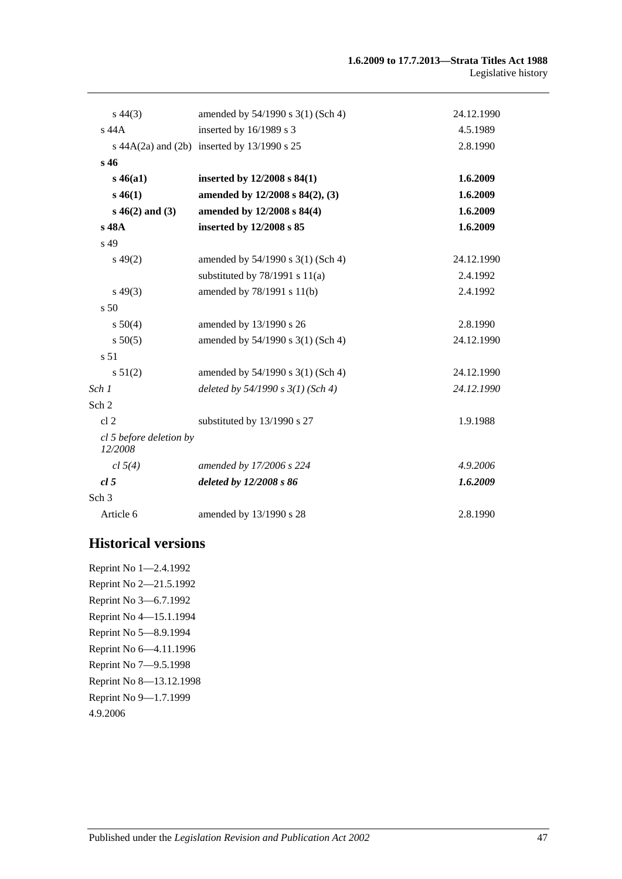| $s\,44(3)$                         | amended by 54/1990 s 3(1) (Sch 4)                   | 24.12.1990 |
|------------------------------------|-----------------------------------------------------|------------|
| s 44A                              | inserted by 16/1989 s 3                             | 4.5.1989   |
|                                    | s $44A(2a)$ and $(2b)$ inserted by $13/1990$ s $25$ | 2.8.1990   |
| s <sub>46</sub>                    |                                                     |            |
| $s\,46(a1)$                        | inserted by $12/2008$ s $84(1)$                     | 1.6.2009   |
| $s\,46(1)$                         | amended by 12/2008 s 84(2), (3)                     | 1.6.2009   |
| $s\,46(2)$ and (3)                 | amended by 12/2008 s 84(4)                          | 1.6.2009   |
| s 48A                              | inserted by 12/2008 s 85                            | 1.6.2009   |
| s 49                               |                                                     |            |
| $s\,49(2)$                         | amended by 54/1990 s 3(1) (Sch 4)                   | 24.12.1990 |
|                                    | substituted by $78/1991$ s $11(a)$                  | 2.4.1992   |
| $s\,49(3)$                         | amended by 78/1991 s 11(b)                          | 2.4.1992   |
| s <sub>50</sub>                    |                                                     |            |
| s 50(4)                            | amended by 13/1990 s 26                             | 2.8.1990   |
| s 50(5)                            | amended by 54/1990 s 3(1) (Sch 4)                   | 24.12.1990 |
| s <sub>51</sub>                    |                                                     |            |
| s 51(2)                            | amended by 54/1990 s 3(1) (Sch 4)                   | 24.12.1990 |
| Sch 1                              | deleted by $54/1990 s 3(1)$ (Sch 4)                 | 24.12.1990 |
| Sch 2                              |                                                     |            |
| cl <sub>2</sub>                    | substituted by 13/1990 s 27                         | 1.9.1988   |
| cl 5 before deletion by<br>12/2008 |                                                     |            |
| cl 5(4)                            | amended by 17/2006 s 224                            | 4.9.2006   |
| cl <sub>5</sub>                    | deleted by 12/2008 s 86                             | 1.6.2009   |
| Sch 3                              |                                                     |            |
| Article 6                          | amended by 13/1990 s 28                             | 2.8.1990   |

# **Historical versions**

Reprint No 1—2.4.1992 Reprint No 2—21.5.1992 Reprint No 3—6.7.1992 Reprint No 4—15.1.1994 Reprint No 5—8.9.1994 Reprint No 6—4.11.1996 Reprint No 7—9.5.1998 Reprint No 8—13.12.1998 Reprint No 9—1.7.1999 4.9.2006